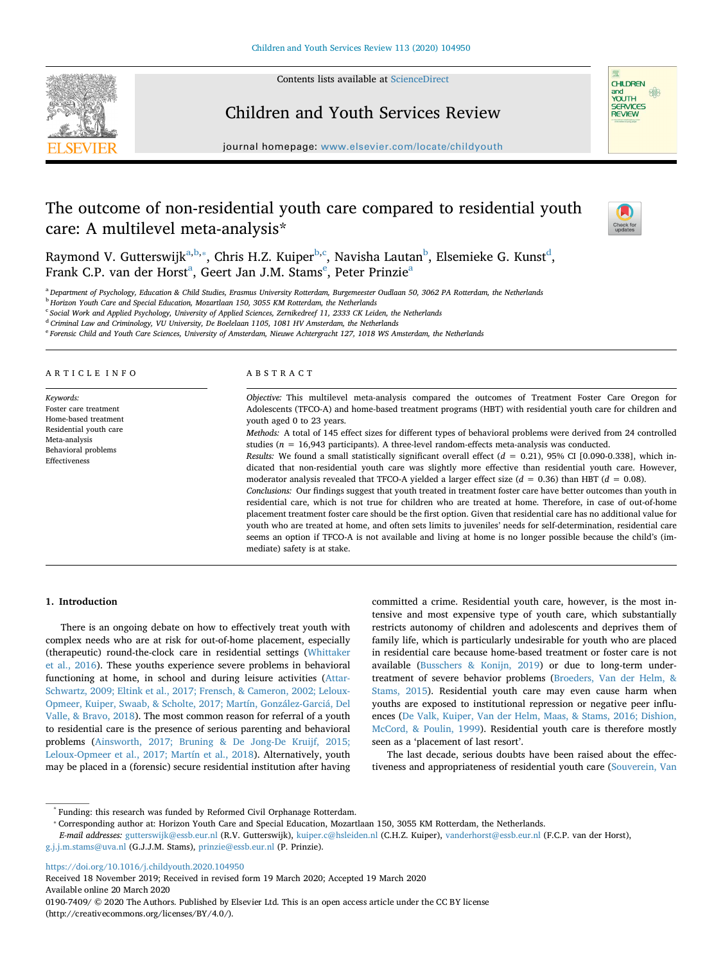



# Children and Youth Services Review

journal homepage: [www.elsevier.com/locate/childyouth](https://www.elsevier.com/locate/childyouth)

# The outcome of non-residential youth care compared to residential youth care: A multilevel meta-analysis\*



R[a](#page-0-0)ymond V. Gutterswijk<sup>a,[b,](#page-0-1)</sup>\*, Chris H.Z. Kuiper<sup>[b](#page-0-1)[,c](#page-0-3)</sup>, Navisha Lautan<sup>b</sup>, Elsemieke G. Kunst<sup>[d](#page-0-4)</sup>, Fr[a](#page-0-0)nk C.P. van d[e](#page-0-5)r Horst<sup>a</sup>, Geert Jan J.M. Stams<sup>e</sup>, Peter Prinzie<sup>a</sup>

<span id="page-0-0"></span><sup>a</sup> *Department of Psychology, Education & Child Studies, Erasmus University Rotterdam, Burgemeester Oudlaan 50, 3062 PA Rotterdam, the Netherlands*

<span id="page-0-1"></span><sup>b</sup> *Horizon Youth Care and Special Education, Mozartlaan 150, 3055 KM Rotterdam, the Netherlands*

<span id="page-0-3"></span><sup>c</sup> *Social Work and Applied Psychology, University of Applied Sciences, Zernikedreef 11, 2333 CK Leiden, the Netherlands*

<span id="page-0-4"></span><sup>d</sup> *Criminal Law and Criminology, VU University, De Boelelaan 1105, 1081 HV Amsterdam, the Netherlands*

<span id="page-0-5"></span><sup>e</sup> *Forensic Child and Youth Care Sciences, University of Amsterdam, Nieuwe Achtergracht 127, 1018 WS Amsterdam, the Netherlands*

#### ARTICLE INFO

*Keywords:* Foster care treatment Home-based treatment Residential youth care Meta-analysis Behavioral problems Effectiveness

# ABSTRACT

*Objective:* This multilevel meta-analysis compared the outcomes of Treatment Foster Care Oregon for Adolescents (TFCO-A) and home-based treatment programs (HBT) with residential youth care for children and youth aged 0 to 23 years.

*Methods:* A total of 145 effect sizes for different types of behavioral problems were derived from 24 controlled studies (*n* = 16,943 participants). A three-level random-effects meta-analysis was conducted. *Results:* We found a small statistically significant overall effect (*d* = 0.21), 95% CI [0.090-0.338], which indicated that non-residential youth care was slightly more effective than residential youth care. However, moderator analysis revealed that TFCO-A yielded a larger effect size  $(d = 0.36)$  than HBT  $(d = 0.08)$ . *Conclusions:* Our findings suggest that youth treated in treatment foster care have better outcomes than youth in residential care, which is not true for children who are treated at home. Therefore, in case of out-of-home placement treatment foster care should be the first option. Given that residential care has no additional value for youth who are treated at home, and often sets limits to juveniles' needs for self-determination, residential care seems an option if TFCO-A is not available and living at home is no longer possible because the child's (immediate) safety is at stake.

## **1. Introduction**

There is an ongoing debate on how to effectively treat youth with complex needs who are at risk for out-of-home placement, especially (therapeutic) round-the-clock care in residential settings [\(Whittaker](#page-10-0) [et al., 2016\)](#page-10-0). These youths experience severe problems in behavioral functioning at home, in school and during leisure activities [\(Attar-](#page-8-0)[Schwartz, 2009; Eltink et al., 2017; Frensch, & Cameron, 2002; Leloux-](#page-8-0)[Opmeer, Kuiper, Swaab, & Scholte, 2017; Martín, González-Garciá, Del](#page-8-0) [Valle, & Bravo, 2018](#page-8-0)). The most common reason for referral of a youth to residential care is the presence of serious parenting and behavioral problems [\(Ainsworth, 2017; Bruning & De Jong-De Kruijf, 2015;](#page-8-1) [Leloux-Opmeer et al., 2017; Martín et al., 2018](#page-8-1)). Alternatively, youth may be placed in a (forensic) secure residential institution after having committed a crime. Residential youth care, however, is the most intensive and most expensive type of youth care, which substantially restricts autonomy of children and adolescents and deprives them of family life, which is particularly undesirable for youth who are placed in residential care because home-based treatment or foster care is not available [\(Busschers & Konijn, 2019\)](#page-8-2) or due to long-term undertreatment of severe behavior problems ([Broeders, Van der Helm, &](#page-8-3) [Stams, 2015](#page-8-3)). Residential youth care may even cause harm when youths are exposed to institutional repression or negative peer influences ([De Valk, Kuiper, Van der Helm, Maas, & Stams, 2016; Dishion,](#page-8-4) [McCord, & Poulin, 1999\)](#page-8-4). Residential youth care is therefore mostly seen as a 'placement of last resort'.

The last decade, serious doubts have been raised about the effectiveness and appropriateness of residential youth care ([Souverein, Van](#page-9-0)

<https://doi.org/10.1016/j.childyouth.2020.104950>

Received 18 November 2019; Received in revised form 19 March 2020; Accepted 19 March 2020 Available online 20 March 2020

0190-7409/ © 2020 The Authors. Published by Elsevier Ltd. This is an open access article under the CC BY license (http://creativecommons.org/licenses/BY/4.0/).

<sup>\*</sup> Funding: this research was funded by Reformed Civil Orphanage Rotterdam.

<span id="page-0-2"></span><sup>⁎</sup> Corresponding author at: Horizon Youth Care and Special Education, Mozartlaan 150, 3055 KM Rotterdam, the Netherlands.

*E-mail addresses:* [gutterswijk@essb.eur.nl](mailto:gutterswijk@essb.eur.nl) (R.V. Gutterswijk), [kuiper.c@hsleiden.nl](mailto:kuiper.c@hsleiden.nl) (C.H.Z. Kuiper), [vanderhorst@essb.eur.nl](mailto:vanderhorst@essb.eur.nl) (F.C.P. van der Horst), [g.j.j.m.stams@uva.nl](mailto:g.j.j.m.stams@uva.nl) (G.J.J.M. Stams), [prinzie@essb.eur.nl](mailto:prinzie@essb.eur.nl) (P. Prinzie).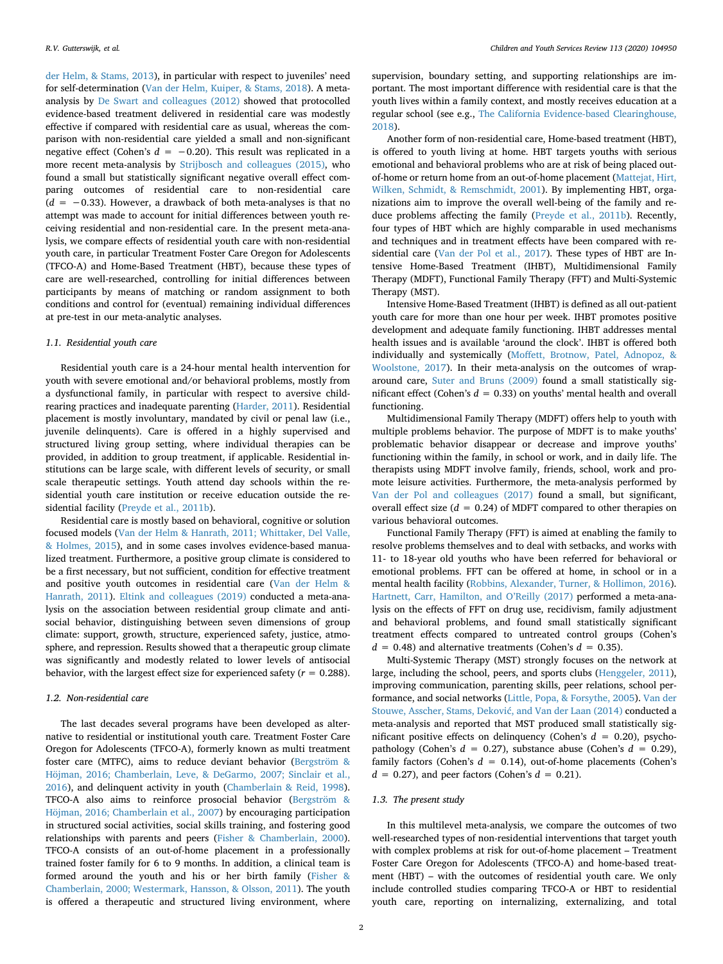[der Helm, & Stams, 2013\)](#page-9-0), in particular with respect to juveniles' need for self-determination ([Van der Helm, Kuiper, & Stams, 2018](#page-10-1)). A metaanalysis by [De Swart and colleagues \(2012\)](#page-8-5) showed that protocolled evidence-based treatment delivered in residential care was modestly effective if compared with residential care as usual, whereas the comparison with non-residential care yielded a small and non-significant negative effect (Cohen's  $d = -0.20$ ). This result was replicated in a more recent meta-analysis by [Strijbosch and colleagues \(2015\),](#page-10-2) who found a small but statistically significant negative overall effect comparing outcomes of residential care to non-residential care  $(d = -0.33)$ . However, a drawback of both meta-analyses is that no attempt was made to account for initial differences between youth receiving residential and non-residential care. In the present meta-analysis, we compare effects of residential youth care with non-residential youth care, in particular Treatment Foster Care Oregon for Adolescents (TFCO-A) and Home-Based Treatment (HBT), because these types of care are well-researched, controlling for initial differences between participants by means of matching or random assignment to both conditions and control for (eventual) remaining individual differences at pre-test in our meta-analytic analyses.

## *1.1. Residential youth care*

Residential youth care is a 24-hour mental health intervention for youth with severe emotional and/or behavioral problems, mostly from a dysfunctional family, in particular with respect to aversive childrearing practices and inadequate parenting ([Harder, 2011\)](#page-9-1). Residential placement is mostly involuntary, mandated by civil or penal law (i.e., juvenile delinquents). Care is offered in a highly supervised and structured living group setting, where individual therapies can be provided, in addition to group treatment, if applicable. Residential institutions can be large scale, with different levels of security, or small scale therapeutic settings. Youth attend day schools within the residential youth care institution or receive education outside the residential facility [\(Preyde et al., 2011b\)](#page-9-2).

Residential care is mostly based on behavioral, cognitive or solution focused models ([Van der Helm & Hanrath, 2011; Whittaker, Del Valle,](#page-10-3) [& Holmes, 2015](#page-10-3)), and in some cases involves evidence-based manualized treatment. Furthermore, a positive group climate is considered to be a first necessary, but not sufficient, condition for effective treatment and positive youth outcomes in residential care [\(Van der Helm &](#page-10-3) [Hanrath, 2011](#page-10-3)). [Eltink and colleagues \(2019\)](#page-9-3) conducted a meta-analysis on the association between residential group climate and antisocial behavior, distinguishing between seven dimensions of group climate: support, growth, structure, experienced safety, justice, atmosphere, and repression. Results showed that a therapeutic group climate was significantly and modestly related to lower levels of antisocial behavior, with the largest effect size for experienced safety (*r* = 0.288).

## *1.2. Non-residential care*

The last decades several programs have been developed as alternative to residential or institutional youth care. Treatment Foster Care Oregon for Adolescents (TFCO-A), formerly known as multi treatment foster care (MTFC), aims to reduce deviant behavior ([Bergström &](#page-8-6) [Höjman, 2016; Chamberlain, Leve, & DeGarmo, 2007; Sinclair et al.,](#page-8-6) [2016\)](#page-8-6), and delinquent activity in youth [\(Chamberlain & Reid, 1998](#page-8-7)). TFCO-A also aims to reinforce prosocial behavior [\(Bergström &](#page-8-6) [Höjman, 2016; Chamberlain et al., 2007\)](#page-8-6) by encouraging participation in structured social activities, social skills training, and fostering good relationships with parents and peers [\(Fisher & Chamberlain, 2000](#page-9-4)). TFCO-A consists of an out-of-home placement in a professionally trained foster family for 6 to 9 months. In addition, a clinical team is formed around the youth and his or her birth family [\(Fisher &](#page-9-4) [Chamberlain, 2000; Westermark, Hansson, & Olsson, 2011](#page-9-4)). The youth is offered a therapeutic and structured living environment, where

supervision, boundary setting, and supporting relationships are important. The most important difference with residential care is that the youth lives within a family context, and mostly receives education at a regular school (see e.g., [The California Evidence-based Clearinghouse,](#page-10-4) [2018\)](#page-10-4).

Another form of non-residential care, Home-based treatment (HBT), is offered to youth living at home. HBT targets youths with serious emotional and behavioral problems who are at risk of being placed outof-home or return home from an out-of-home placement ([Mattejat, Hirt,](#page-9-5) [Wilken, Schmidt, & Remschmidt, 2001](#page-9-5)). By implementing HBT, organizations aim to improve the overall well-being of the family and reduce problems affecting the family [\(Preyde et al., 2011b](#page-9-2)). Recently, four types of HBT which are highly comparable in used mechanisms and techniques and in treatment effects have been compared with residential care [\(Van der Pol et al., 2017](#page-10-5)). These types of HBT are Intensive Home-Based Treatment (IHBT), Multidimensional Family Therapy (MDFT), Functional Family Therapy (FFT) and Multi-Systemic Therapy (MST).

Intensive Home-Based Treatment (IHBT) is defined as all out-patient youth care for more than one hour per week. IHBT promotes positive development and adequate family functioning. IHBT addresses mental health issues and is available 'around the clock'. IHBT is offered both individually and systemically [\(Moffett, Brotnow, Patel, Adnopoz, &](#page-9-6) [Woolstone, 2017\)](#page-9-6). In their meta-analysis on the outcomes of wraparound care, [Suter and Bruns \(2009\)](#page-10-6) found a small statistically significant effect (Cohen's *d* = 0.33) on youths' mental health and overall functioning.

Multidimensional Family Therapy (MDFT) offers help to youth with multiple problems behavior. The purpose of MDFT is to make youths' problematic behavior disappear or decrease and improve youths' functioning within the family, in school or work, and in daily life. The therapists using MDFT involve family, friends, school, work and promote leisure activities. Furthermore, the meta-analysis performed by [Van der Pol and colleagues \(2017\)](#page-10-5) found a small, but significant, overall effect size  $(d = 0.24)$  of MDFT compared to other therapies on various behavioral outcomes.

Functional Family Therapy (FFT) is aimed at enabling the family to resolve problems themselves and to deal with setbacks, and works with 11- to 18-year old youths who have been referred for behavioral or emotional problems. FFT can be offered at home, in school or in a mental health facility [\(Robbins, Alexander, Turner, & Hollimon, 2016](#page-9-7)). [Hartnett, Carr, Hamilton, and O'Reilly \(2017\)](#page-9-8) performed a meta-analysis on the effects of FFT on drug use, recidivism, family adjustment and behavioral problems, and found small statistically significant treatment effects compared to untreated control groups (Cohen's  $d = 0.48$ ) and alternative treatments (Cohen's  $d = 0.35$ ).

Multi-Systemic Therapy (MST) strongly focuses on the network at large, including the school, peers, and sports clubs ([Henggeler, 2011](#page-9-9)), improving communication, parenting skills, peer relations, school performance, and social networks [\(Little, Popa, & Forsythe, 2005\)](#page-9-10). [Van der](#page-10-7) [Stouwe, Asscher, Stams, Deković, and Van der Laan \(2014\)](#page-10-7) conducted a meta-analysis and reported that MST produced small statistically significant positive effects on delinquency (Cohen's *d* = 0.20), psychopathology (Cohen's  $d = 0.27$ ), substance abuse (Cohen's  $d = 0.29$ ), family factors (Cohen's  $d = 0.14$ ), out-of-home placements (Cohen's  $d = 0.27$ , and peer factors (Cohen's  $d = 0.21$ ).

## *1.3. The present study*

In this multilevel meta-analysis, we compare the outcomes of two well-researched types of non-residential interventions that target youth with complex problems at risk for out-of-home placement – Treatment Foster Care Oregon for Adolescents (TFCO-A) and home-based treatment (HBT) – with the outcomes of residential youth care. We only include controlled studies comparing TFCO-A or HBT to residential youth care, reporting on internalizing, externalizing, and total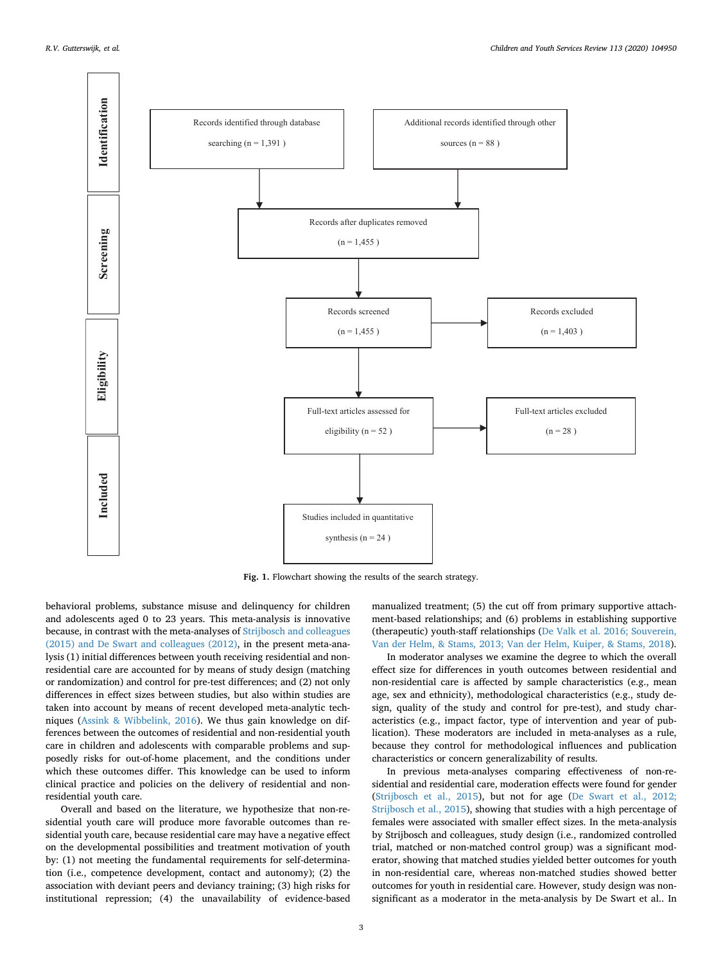<span id="page-2-0"></span>

**Fig. 1.** Flowchart showing the results of the search strategy.

behavioral problems, substance misuse and delinquency for children and adolescents aged 0 to 23 years. This meta-analysis is innovative because, in contrast with the meta-analyses of [Strijbosch and colleagues](#page-10-2) [\(2015\) and De Swart and colleagues \(2012\),](#page-10-2) in the present meta-analysis (1) initial differences between youth receiving residential and nonresidential care are accounted for by means of study design (matching or randomization) and control for pre-test differences; and (2) not only differences in effect sizes between studies, but also within studies are taken into account by means of recent developed meta-analytic techniques [\(Assink & Wibbelink, 2016](#page-8-8)). We thus gain knowledge on differences between the outcomes of residential and non-residential youth care in children and adolescents with comparable problems and supposedly risks for out-of-home placement, and the conditions under which these outcomes differ. This knowledge can be used to inform clinical practice and policies on the delivery of residential and nonresidential youth care.

Overall and based on the literature, we hypothesize that non-residential youth care will produce more favorable outcomes than residential youth care, because residential care may have a negative effect on the developmental possibilities and treatment motivation of youth by: (1) not meeting the fundamental requirements for self-determination (i.e., competence development, contact and autonomy); (2) the association with deviant peers and deviancy training; (3) high risks for institutional repression; (4) the unavailability of evidence-based

manualized treatment; (5) the cut off from primary supportive attachment-based relationships; and (6) problems in establishing supportive (therapeutic) youth-staff relationships ([De Valk et al. 2016; Souverein,](#page-8-4) [Van der Helm, & Stams, 2013; Van der Helm, Kuiper, & Stams, 2018](#page-8-4)).

In moderator analyses we examine the degree to which the overall effect size for differences in youth outcomes between residential and non-residential care is affected by sample characteristics (e.g., mean age, sex and ethnicity), methodological characteristics (e.g., study design, quality of the study and control for pre-test), and study characteristics (e.g., impact factor, type of intervention and year of publication). These moderators are included in meta-analyses as a rule, because they control for methodological influences and publication characteristics or concern generalizability of results.

In previous meta-analyses comparing effectiveness of non-residential and residential care, moderation effects were found for gender ([Strijbosch et al., 2015](#page-10-2)), but not for age [\(De Swart et al., 2012;](#page-8-5) [Strijbosch et al., 2015](#page-8-5)), showing that studies with a high percentage of females were associated with smaller effect sizes. In the meta-analysis by Strijbosch and colleagues, study design (i.e., randomized controlled trial, matched or non-matched control group) was a significant moderator, showing that matched studies yielded better outcomes for youth in non-residential care, whereas non-matched studies showed better outcomes for youth in residential care. However, study design was nonsignificant as a moderator in the meta-analysis by De Swart et al.. In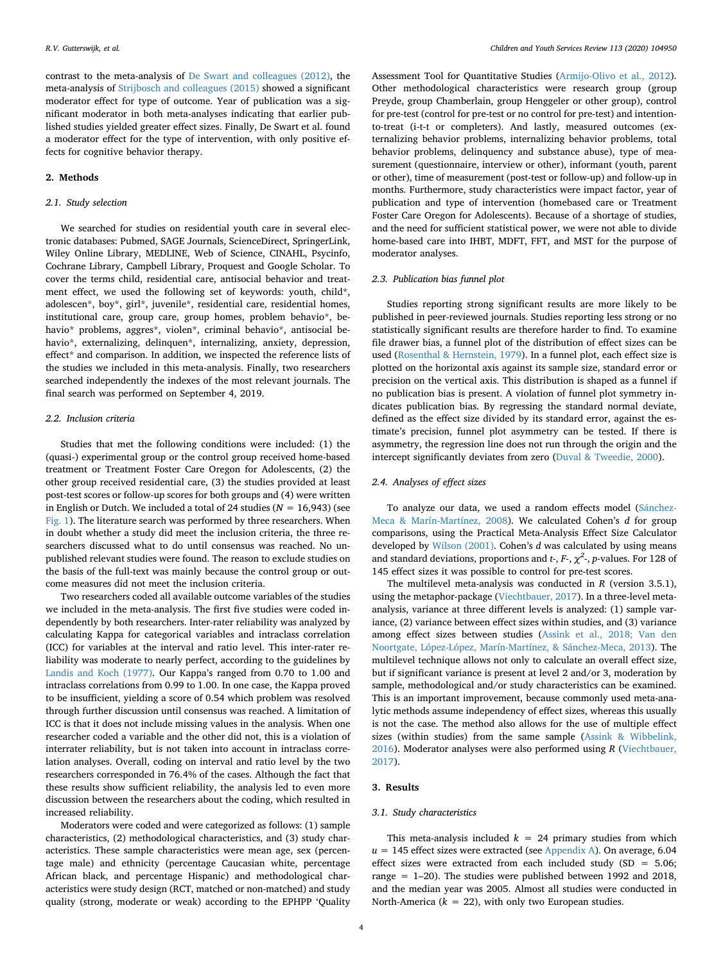contrast to the meta-analysis of [De Swart and colleagues \(2012\),](#page-8-5) the meta-analysis of [Strijbosch and colleagues \(2015\)](#page-10-2) showed a significant moderator effect for type of outcome. Year of publication was a significant moderator in both meta-analyses indicating that earlier published studies yielded greater effect sizes. Finally, De Swart et al. found a moderator effect for the type of intervention, with only positive effects for cognitive behavior therapy.

# **2. Methods**

## *2.1. Study selection*

We searched for studies on residential youth care in several electronic databases: Pubmed, SAGE Journals, ScienceDirect, SpringerLink, Wiley Online Library, MEDLINE, Web of Science, CINAHL, Psycinfo, Cochrane Library, Campbell Library, Proquest and Google Scholar. To cover the terms child, residential care, antisocial behavior and treatment effect, we used the following set of keywords: youth, child\*, adolescen\*, boy\*, girl\*, juvenile\*, residential care, residential homes, institutional care, group care, group homes, problem behavio\*, behavio\* problems, aggres\*, violen\*, criminal behavio\*, antisocial behavio\*, externalizing, delinquen\*, internalizing, anxiety, depression, effect\* and comparison. In addition, we inspected the reference lists of the studies we included in this meta-analysis. Finally, two researchers searched independently the indexes of the most relevant journals. The final search was performed on September 4, 2019.

#### *2.2. Inclusion criteria*

Studies that met the following conditions were included: (1) the (quasi-) experimental group or the control group received home-based treatment or Treatment Foster Care Oregon for Adolescents, (2) the other group received residential care, (3) the studies provided at least post-test scores or follow-up scores for both groups and (4) were written in English or Dutch. We included a total of 24 studies  $(N = 16,943)$  (see [Fig. 1](#page-2-0)). The literature search was performed by three researchers. When in doubt whether a study did meet the inclusion criteria, the three researchers discussed what to do until consensus was reached. No unpublished relevant studies were found. The reason to exclude studies on the basis of the full-text was mainly because the control group or outcome measures did not meet the inclusion criteria.

Two researchers coded all available outcome variables of the studies we included in the meta-analysis. The first five studies were coded independently by both researchers. Inter-rater reliability was analyzed by calculating Kappa for categorical variables and intraclass correlation (ICC) for variables at the interval and ratio level. This inter-rater reliability was moderate to nearly perfect, according to the guidelines by [Landis and Koch \(1977\).](#page-9-11) Our Kappa's ranged from 0.70 to 1.00 and intraclass correlations from 0.99 to 1.00. In one case, the Kappa proved to be insufficient, yielding a score of 0.54 which problem was resolved through further discussion until consensus was reached. A limitation of ICC is that it does not include missing values in the analysis. When one researcher coded a variable and the other did not, this is a violation of interrater reliability, but is not taken into account in intraclass correlation analyses. Overall, coding on interval and ratio level by the two researchers corresponded in 76.4% of the cases. Although the fact that these results show sufficient reliability, the analysis led to even more discussion between the researchers about the coding, which resulted in increased reliability.

Moderators were coded and were categorized as follows: (1) sample characteristics, (2) methodological characteristics, and (3) study characteristics. These sample characteristics were mean age, sex (percentage male) and ethnicity (percentage Caucasian white, percentage African black, and percentage Hispanic) and methodological characteristics were study design (RCT, matched or non-matched) and study quality (strong, moderate or weak) according to the EPHPP 'Quality

Assessment Tool for Quantitative Studies [\(Armijo-Olivo et al., 2012](#page-8-9)). Other methodological characteristics were research group (group Preyde, group Chamberlain, group Henggeler or other group), control for pre-test (control for pre-test or no control for pre-test) and intentionto-treat (i-t-t or completers). And lastly, measured outcomes (externalizing behavior problems, internalizing behavior problems, total behavior problems, delinquency and substance abuse), type of measurement (questionnaire, interview or other), informant (youth, parent or other), time of measurement (post-test or follow-up) and follow-up in months. Furthermore, study characteristics were impact factor, year of publication and type of intervention (homebased care or Treatment Foster Care Oregon for Adolescents). Because of a shortage of studies, and the need for sufficient statistical power, we were not able to divide home-based care into IHBT, MDFT, FFT, and MST for the purpose of moderator analyses.

## *2.3. Publication bias funnel plot*

Studies reporting strong significant results are more likely to be published in peer-reviewed journals. Studies reporting less strong or no statistically significant results are therefore harder to find. To examine file drawer bias, a funnel plot of the distribution of effect sizes can be used [\(Rosenthal & Hernstein, 1979\)](#page-9-12). In a funnel plot, each effect size is plotted on the horizontal axis against its sample size, standard error or precision on the vertical axis. This distribution is shaped as a funnel if no publication bias is present. A violation of funnel plot symmetry indicates publication bias. By regressing the standard normal deviate, defined as the effect size divided by its standard error, against the estimate's precision, funnel plot asymmetry can be tested. If there is asymmetry, the regression line does not run through the origin and the intercept significantly deviates from zero [\(Duval & Tweedie, 2000](#page-8-10)).

## *2.4. Analyses of effect sizes*

To analyze our data, we used a random effects model ([Sánchez-](#page-9-13)[Meca & Marín-Martínez, 2008](#page-9-13)). We calculated Cohen's *d* for group comparisons, using the Practical Meta-Analysis Effect Size Calculator developed by [Wilson \(2001\)](#page-10-8). Cohen's *d* was calculated by using means and standard deviations, proportions and *t*-, *F*-, *χ<sup>2</sup>* -, *p*-values. For 128 of 145 effect sizes it was possible to control for pre-test scores.

The multilevel meta-analysis was conducted in *R* (version 3.5.1), using the metaphor-package ([Viechtbauer, 2017\)](#page-10-9). In a three-level metaanalysis, variance at three different levels is analyzed: (1) sample variance, (2) variance between effect sizes within studies, and (3) variance among effect sizes between studies ([Assink et al., 2018; Van den](#page-8-11) [Noortgate, López-López, Marín-Martínez, & Sánchez-Meca, 2013](#page-8-11)). The multilevel technique allows not only to calculate an overall effect size, but if significant variance is present at level 2 and/or 3, moderation by sample, methodological and/or study characteristics can be examined. This is an important improvement, because commonly used meta-analytic methods assume independency of effect sizes, whereas this usually is not the case. The method also allows for the use of multiple effect sizes (within studies) from the same sample ([Assink & Wibbelink,](#page-8-8) [2016\)](#page-8-8). Moderator analyses were also performed using *R* ([Viechtbauer,](#page-10-9) [2017\)](#page-10-9).

## **3. Results**

## *3.1. Study characteristics*

This meta-analysis included  $k = 24$  primary studies from which  $u = 145$  effect sizes were extracted (see [Appendix A](#page-8-12)). On average, 6.04 effect sizes were extracted from each included study  $(SD = 5.06;$ range = 1–20). The studies were published between 1992 and 2018, and the median year was 2005. Almost all studies were conducted in North-America ( $k = 22$ ), with only two European studies.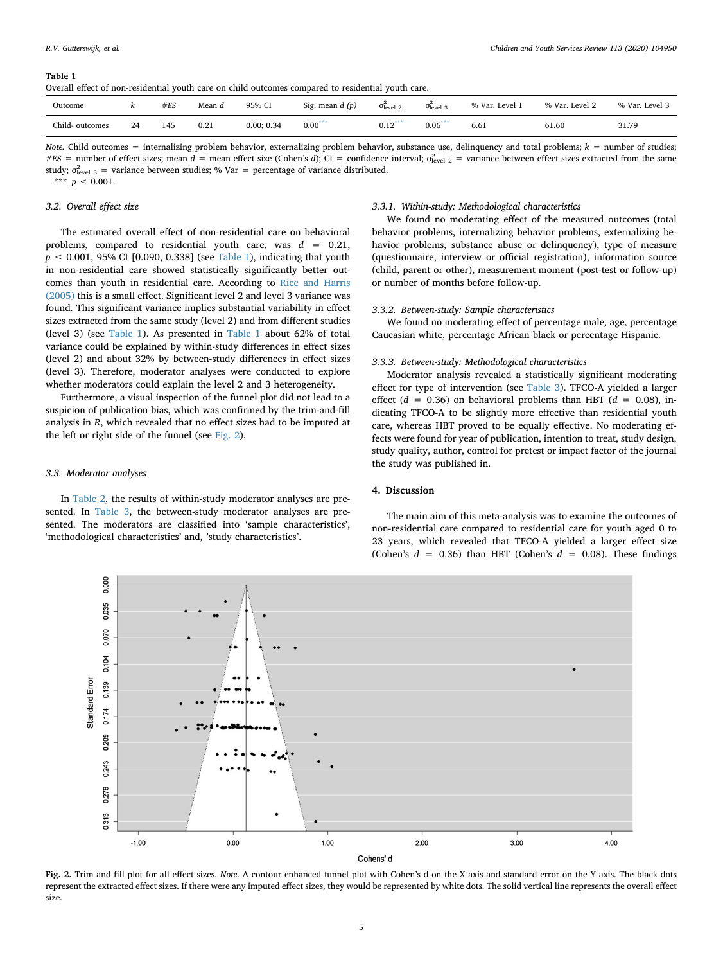#### <span id="page-4-0"></span>**Table 1**

|  |  | Overall effect of non-residential vouth care on child outcomes compared to residential vouth care. |  |  |  |  |  |  |  |  |  |  |  |
|--|--|----------------------------------------------------------------------------------------------------|--|--|--|--|--|--|--|--|--|--|--|
|--|--|----------------------------------------------------------------------------------------------------|--|--|--|--|--|--|--|--|--|--|--|

| Outcome        | "  | #ES | Mean $d$ | 95% CI     | Sig. mean $d(p)$ | $\sigma$ <sub>level</sub> 2 | $\sigma_{\text{level}}^2$ | % Var. Level | % Var. Level 2 | % Var. Level 3 |
|----------------|----|-----|----------|------------|------------------|-----------------------------|---------------------------|--------------|----------------|----------------|
| Child-outcomes | 24 | 145 | 0.21     | 0.00; 0.34 | $0.00***$        | 0.12                        | $0.06***$                 | 6.61         | 61.60          | 31.79          |

*Note.* Child outcomes = internalizing problem behavior, externalizing problem behavior, substance use, delinquency and total problems; *k =* number of studies; *#ES* = number of effect sizes; mean *d* = mean effect size (Cohen's *d*); CI = confidence interval;  $\sigma_{\text{level 2}}^2$  = variance between effect sizes extracted from the same study;  $\sigma_{\text{level 3}}^2$  = variance between studies; % Var = percentage of variance distributed. \*\*\*  $p \le 0.001$ .

## <span id="page-4-2"></span>*3.2. Overall effect size*

The estimated overall effect of non-residential care on behavioral problems, compared to residential youth care, was *d* = 0.21,  $p \le 0.001$ , 95% CI [0.090, 0.338] (see [Table 1\)](#page-4-0), indicating that youth in non-residential care showed statistically significantly better outcomes than youth in residential care. According to [Rice and Harris](#page-9-14) [\(2005\)](#page-9-14) this is a small effect. Significant level 2 and level 3 variance was found. This significant variance implies substantial variability in effect sizes extracted from the same study (level 2) and from different studies (level 3) (see [Table 1\)](#page-4-0). As presented in [Table 1](#page-4-0) about 62% of total variance could be explained by within-study differences in effect sizes (level 2) and about 32% by between-study differences in effect sizes (level 3). Therefore, moderator analyses were conducted to explore whether moderators could explain the level 2 and 3 heterogeneity.

Furthermore, a visual inspection of the funnel plot did not lead to a suspicion of publication bias, which was confirmed by the trim-and-fill analysis in *R*, which revealed that no effect sizes had to be imputed at the left or right side of the funnel (see [Fig. 2\)](#page-4-1).

#### *3.3. Moderator analyses*

In [Table 2,](#page-5-0) the results of within-study moderator analyses are presented. In [Table 3,](#page-5-1) the between-study moderator analyses are presented. The moderators are classified into 'sample characteristics', 'methodological characteristics' and, 'study characteristics'.

#### *3.3.1. Within-study: Methodological characteristics*

We found no moderating effect of the measured outcomes (total behavior problems, internalizing behavior problems, externalizing behavior problems, substance abuse or delinquency), type of measure (questionnaire, interview or official registration), information source (child, parent or other), measurement moment (post-test or follow-up) or number of months before follow-up.

#### *3.3.2. Between-study: Sample characteristics*

We found no moderating effect of percentage male, age, percentage Caucasian white, percentage African black or percentage Hispanic.

#### *3.3.3. Between-study: Methodological characteristics*

Moderator analysis revealed a statistically significant moderating effect for type of intervention (see [Table 3](#page-5-1)). TFCO-A yielded a larger effect  $(d = 0.36)$  on behavioral problems than HBT  $(d = 0.08)$ , indicating TFCO-A to be slightly more effective than residential youth care, whereas HBT proved to be equally effective. No moderating effects were found for year of publication, intention to treat, study design, study quality, author, control for pretest or impact factor of the journal the study was published in.

## **4. Discussion**

The main aim of this meta-analysis was to examine the outcomes of non-residential care compared to residential care for youth aged 0 to 23 years, which revealed that TFCO-A yielded a larger effect size (Cohen's  $d = 0.36$ ) than HBT (Cohen's  $d = 0.08$ ). These findings

<span id="page-4-1"></span>

**Fig. 2.** Trim and fill plot for all effect sizes. *Note*. A contour enhanced funnel plot with Cohen's d on the X axis and standard error on the Y axis. The black dots represent the extracted effect sizes. If there were any imputed effect sizes, they would be represented by white dots. The solid vertical line represents the overall effect size.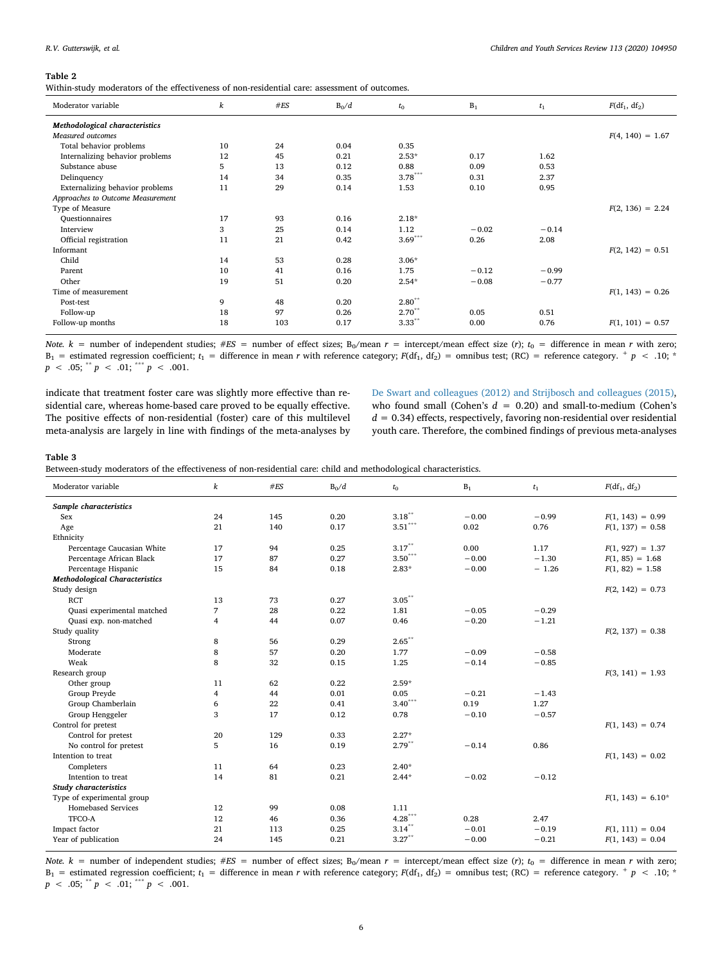#### <span id="page-5-0"></span>**Table 2**

Within-study moderators of the effectiveness of non-residential care: assessment of outcomes.

| Moderator variable                | $\boldsymbol{k}$ | $\#ES$ | $B_0/d$ | $t_{0}$              | $B_1$   | $t_1$   | $F(df_1, df_2)$    |
|-----------------------------------|------------------|--------|---------|----------------------|---------|---------|--------------------|
| Methodological characteristics    |                  |        |         |                      |         |         |                    |
| Measured outcomes                 |                  |        |         |                      |         |         | $F(4, 140) = 1.67$ |
| Total behavior problems           | 10               | 24     | 0.04    | 0.35                 |         |         |                    |
| Internalizing behavior problems   | 12               | 45     | 0.21    | $2.53*$              | 0.17    | 1.62    |                    |
| Substance abuse                   | 5                | 13     | 0.12    | 0.88                 | 0.09    | 0.53    |                    |
| Delinquency                       | 14               | 34     | 0.35    | $3.78***$            | 0.31    | 2.37    |                    |
| Externalizing behavior problems   | 11               | 29     | 0.14    | 1.53                 | 0.10    | 0.95    |                    |
| Approaches to Outcome Measurement |                  |        |         |                      |         |         |                    |
| Type of Measure                   |                  |        |         |                      |         |         | $F(2, 136) = 2.24$ |
| <b>Ouestionnaires</b>             | 17               | 93     | 0.16    | $2.18*$              |         |         |                    |
| Interview                         | 3                | 25     | 0.14    | 1.12                 | $-0.02$ | $-0.14$ |                    |
| Official registration             | 11               | 21     | 0.42    | $3.69***$            | 0.26    | 2.08    |                    |
| Informant                         |                  |        |         |                      |         |         | $F(2, 142) = 0.51$ |
| Child                             | 14               | 53     | 0.28    | $3.06*$              |         |         |                    |
| Parent                            | 10               | 41     | 0.16    | 1.75                 | $-0.12$ | $-0.99$ |                    |
| Other                             | 19               | 51     | 0.20    | $2.54*$              | $-0.08$ | $-0.77$ |                    |
| Time of measurement               |                  |        |         |                      |         |         | $F(1, 143) = 0.26$ |
| Post-test                         | 9                | 48     | 0.20    | $2.80^{**}$          |         |         |                    |
| Follow-up                         | 18               | 97     | 0.26    | $2.70^{**}$          | 0.05    | 0.51    |                    |
| Follow-up months                  | 18               | 103    | 0.17    | $3.33$ <sup>**</sup> | 0.00    | 0.76    | $F(1, 101) = 0.57$ |

*Note.*  $k =$  number of independent studies;  $#ES =$  number of effect sizes; B<sub>0</sub>/mean  $r =$  intercept/mean effect size (*r*);  $t_0 =$  difference in mean *r* with zero;  $B_1$  = estimated regression coefficient;  $t_1$  = difference in mean *r* with reference category;  $F(df_1, df_2)$  = omnibus test; (RC) = reference category.  $^+$  *p* < .10; \*  $p \, < \, .05;$  \*\*  $p \, < \, .01;$  \*\*\*  $p \, < \, .001.$ 

indicate that treatment foster care was slightly more effective than residential care, whereas home-based care proved to be equally effective. The positive effects of non-residential (foster) care of this multilevel meta-analysis are largely in line with findings of the meta-analyses by

[De Swart and colleagues \(2012\) and Strijbosch and colleagues \(2015\)](#page-8-5), who found small (Cohen's  $d = 0.20$ ) and small-to-medium (Cohen's *d* = 0.34) effects, respectively, favoring non-residential over residential youth care. Therefore, the combined findings of previous meta-analyses

#### <span id="page-5-1"></span>**Table 3**

Between-study moderators of the effectiveness of non-residential care: child and methodological characteristics.

| Sample characteristics<br>$3.18^{\circ\circ}$<br>145<br>0.20<br>$-0.00$<br>$-0.99$<br>24<br>$F(1, 143) = 0.99$<br>Sex<br>$3.51^{\tiny \texttt{***}}$<br>21<br>140<br>0.17<br>0.02<br>0.76<br>Age<br>$F(1, 137) = 0.58$<br>Ethnicity<br>$3.17***$<br>Percentage Caucasian White<br>17<br>94<br>0.25<br>0.00<br>1.17<br>$F(1, 927) = 1.37$<br>$3.50^{\ast\ast\ast}$<br>$-1.30$<br>0.27<br>Percentage African Black<br>17<br>87<br>$-0.00$<br>$F(1, 85) = 1.68$<br>15<br>84<br>0.18<br>$-0.00$<br>$-1.26$<br>$F(1, 82) = 1.58$<br>Percentage Hispanic<br>$2.83*$<br><b>Methodological Characteristics</b><br>Study design<br>$F(2, 142) = 0.73$<br>$3.05***$<br><b>RCT</b><br>13<br>73<br>0.27<br>7<br>28<br>0.22<br>$-0.29$<br>Quasi experimental matched<br>1.81<br>$-0.05$<br>Quasi exp. non-matched<br>0.07<br>0.46<br>$-0.20$<br>$-1.21$<br>4<br>44<br>Study quality<br>$F(2, 137) = 0.38$<br>$2.65^{\ast\ast}$<br>8<br>56<br>0.29<br>Strong<br>8<br>0.20<br>$-0.58$<br>57<br>1.77<br>$-0.09$<br>Moderate<br>8<br>Weak<br>32<br>1.25<br>$-0.14$<br>$-0.85$<br>0.15<br>Research group<br>$F(3, 141) = 1.93$<br>0.22<br>$2.59*$<br>11<br>62<br>Other group<br>Group Preyde<br>4<br>44<br>0.01<br>0.05<br>$-0.21$<br>$-1.43$<br>$3.40***$<br>0.19<br>1.27<br>Group Chamberlain<br>6<br>22<br>0.41<br>$-0.57$<br>Group Henggeler<br>3<br>17<br>0.12<br>0.78<br>$-0.10$<br>Control for pretest<br>$F(1, 143) = 0.74$<br>Control for pretest<br>129<br>0.33<br>$2.27*$<br>20<br>$2.79***$<br>5<br>16<br>0.86<br>No control for pretest<br>0.19<br>$-0.14$<br>Intention to treat<br>$F(1, 143) = 0.02$<br>11<br>64<br>0.23<br>$2.40*$<br>Completers<br>81<br>14<br>0.21<br>$2.44*$<br>$-0.02$<br>$-0.12$<br>Intention to treat<br>Study characteristics<br>Type of experimental group<br>$F(1, 143) = 6.10*$<br>Homebased Services<br>12<br>99<br>0.08<br>1.11<br>$4.28***$<br>TFCO-A<br>0.28<br>2.47<br>12<br>46<br>0.36<br>$3.14***$<br>$-0.19$<br>Impact factor<br>0.25<br>$-0.01$<br>$F(1, 111) = 0.04$<br>21<br>113 | Moderator variable  | k  | #ES | $B_0/d$ | $t_0$     | $B_1$   | $t_1$   | $F(df_1, df_2)$    |
|---------------------------------------------------------------------------------------------------------------------------------------------------------------------------------------------------------------------------------------------------------------------------------------------------------------------------------------------------------------------------------------------------------------------------------------------------------------------------------------------------------------------------------------------------------------------------------------------------------------------------------------------------------------------------------------------------------------------------------------------------------------------------------------------------------------------------------------------------------------------------------------------------------------------------------------------------------------------------------------------------------------------------------------------------------------------------------------------------------------------------------------------------------------------------------------------------------------------------------------------------------------------------------------------------------------------------------------------------------------------------------------------------------------------------------------------------------------------------------------------------------------------------------------------------------------------------------------------------------------------------------------------------------------------------------------------------------------------------------------------------------------------------------------------------------------------------------------------------------------------------------------------------------------------------------------------------------------------------------------------------------------------|---------------------|----|-----|---------|-----------|---------|---------|--------------------|
|                                                                                                                                                                                                                                                                                                                                                                                                                                                                                                                                                                                                                                                                                                                                                                                                                                                                                                                                                                                                                                                                                                                                                                                                                                                                                                                                                                                                                                                                                                                                                                                                                                                                                                                                                                                                                                                                                                                                                                                                                     |                     |    |     |         |           |         |         |                    |
|                                                                                                                                                                                                                                                                                                                                                                                                                                                                                                                                                                                                                                                                                                                                                                                                                                                                                                                                                                                                                                                                                                                                                                                                                                                                                                                                                                                                                                                                                                                                                                                                                                                                                                                                                                                                                                                                                                                                                                                                                     |                     |    |     |         |           |         |         |                    |
|                                                                                                                                                                                                                                                                                                                                                                                                                                                                                                                                                                                                                                                                                                                                                                                                                                                                                                                                                                                                                                                                                                                                                                                                                                                                                                                                                                                                                                                                                                                                                                                                                                                                                                                                                                                                                                                                                                                                                                                                                     |                     |    |     |         |           |         |         |                    |
|                                                                                                                                                                                                                                                                                                                                                                                                                                                                                                                                                                                                                                                                                                                                                                                                                                                                                                                                                                                                                                                                                                                                                                                                                                                                                                                                                                                                                                                                                                                                                                                                                                                                                                                                                                                                                                                                                                                                                                                                                     |                     |    |     |         |           |         |         |                    |
|                                                                                                                                                                                                                                                                                                                                                                                                                                                                                                                                                                                                                                                                                                                                                                                                                                                                                                                                                                                                                                                                                                                                                                                                                                                                                                                                                                                                                                                                                                                                                                                                                                                                                                                                                                                                                                                                                                                                                                                                                     |                     |    |     |         |           |         |         |                    |
|                                                                                                                                                                                                                                                                                                                                                                                                                                                                                                                                                                                                                                                                                                                                                                                                                                                                                                                                                                                                                                                                                                                                                                                                                                                                                                                                                                                                                                                                                                                                                                                                                                                                                                                                                                                                                                                                                                                                                                                                                     |                     |    |     |         |           |         |         |                    |
|                                                                                                                                                                                                                                                                                                                                                                                                                                                                                                                                                                                                                                                                                                                                                                                                                                                                                                                                                                                                                                                                                                                                                                                                                                                                                                                                                                                                                                                                                                                                                                                                                                                                                                                                                                                                                                                                                                                                                                                                                     |                     |    |     |         |           |         |         |                    |
|                                                                                                                                                                                                                                                                                                                                                                                                                                                                                                                                                                                                                                                                                                                                                                                                                                                                                                                                                                                                                                                                                                                                                                                                                                                                                                                                                                                                                                                                                                                                                                                                                                                                                                                                                                                                                                                                                                                                                                                                                     |                     |    |     |         |           |         |         |                    |
|                                                                                                                                                                                                                                                                                                                                                                                                                                                                                                                                                                                                                                                                                                                                                                                                                                                                                                                                                                                                                                                                                                                                                                                                                                                                                                                                                                                                                                                                                                                                                                                                                                                                                                                                                                                                                                                                                                                                                                                                                     |                     |    |     |         |           |         |         |                    |
|                                                                                                                                                                                                                                                                                                                                                                                                                                                                                                                                                                                                                                                                                                                                                                                                                                                                                                                                                                                                                                                                                                                                                                                                                                                                                                                                                                                                                                                                                                                                                                                                                                                                                                                                                                                                                                                                                                                                                                                                                     |                     |    |     |         |           |         |         |                    |
|                                                                                                                                                                                                                                                                                                                                                                                                                                                                                                                                                                                                                                                                                                                                                                                                                                                                                                                                                                                                                                                                                                                                                                                                                                                                                                                                                                                                                                                                                                                                                                                                                                                                                                                                                                                                                                                                                                                                                                                                                     |                     |    |     |         |           |         |         |                    |
|                                                                                                                                                                                                                                                                                                                                                                                                                                                                                                                                                                                                                                                                                                                                                                                                                                                                                                                                                                                                                                                                                                                                                                                                                                                                                                                                                                                                                                                                                                                                                                                                                                                                                                                                                                                                                                                                                                                                                                                                                     |                     |    |     |         |           |         |         |                    |
|                                                                                                                                                                                                                                                                                                                                                                                                                                                                                                                                                                                                                                                                                                                                                                                                                                                                                                                                                                                                                                                                                                                                                                                                                                                                                                                                                                                                                                                                                                                                                                                                                                                                                                                                                                                                                                                                                                                                                                                                                     |                     |    |     |         |           |         |         |                    |
|                                                                                                                                                                                                                                                                                                                                                                                                                                                                                                                                                                                                                                                                                                                                                                                                                                                                                                                                                                                                                                                                                                                                                                                                                                                                                                                                                                                                                                                                                                                                                                                                                                                                                                                                                                                                                                                                                                                                                                                                                     |                     |    |     |         |           |         |         |                    |
|                                                                                                                                                                                                                                                                                                                                                                                                                                                                                                                                                                                                                                                                                                                                                                                                                                                                                                                                                                                                                                                                                                                                                                                                                                                                                                                                                                                                                                                                                                                                                                                                                                                                                                                                                                                                                                                                                                                                                                                                                     |                     |    |     |         |           |         |         |                    |
|                                                                                                                                                                                                                                                                                                                                                                                                                                                                                                                                                                                                                                                                                                                                                                                                                                                                                                                                                                                                                                                                                                                                                                                                                                                                                                                                                                                                                                                                                                                                                                                                                                                                                                                                                                                                                                                                                                                                                                                                                     |                     |    |     |         |           |         |         |                    |
|                                                                                                                                                                                                                                                                                                                                                                                                                                                                                                                                                                                                                                                                                                                                                                                                                                                                                                                                                                                                                                                                                                                                                                                                                                                                                                                                                                                                                                                                                                                                                                                                                                                                                                                                                                                                                                                                                                                                                                                                                     |                     |    |     |         |           |         |         |                    |
|                                                                                                                                                                                                                                                                                                                                                                                                                                                                                                                                                                                                                                                                                                                                                                                                                                                                                                                                                                                                                                                                                                                                                                                                                                                                                                                                                                                                                                                                                                                                                                                                                                                                                                                                                                                                                                                                                                                                                                                                                     |                     |    |     |         |           |         |         |                    |
|                                                                                                                                                                                                                                                                                                                                                                                                                                                                                                                                                                                                                                                                                                                                                                                                                                                                                                                                                                                                                                                                                                                                                                                                                                                                                                                                                                                                                                                                                                                                                                                                                                                                                                                                                                                                                                                                                                                                                                                                                     |                     |    |     |         |           |         |         |                    |
|                                                                                                                                                                                                                                                                                                                                                                                                                                                                                                                                                                                                                                                                                                                                                                                                                                                                                                                                                                                                                                                                                                                                                                                                                                                                                                                                                                                                                                                                                                                                                                                                                                                                                                                                                                                                                                                                                                                                                                                                                     |                     |    |     |         |           |         |         |                    |
|                                                                                                                                                                                                                                                                                                                                                                                                                                                                                                                                                                                                                                                                                                                                                                                                                                                                                                                                                                                                                                                                                                                                                                                                                                                                                                                                                                                                                                                                                                                                                                                                                                                                                                                                                                                                                                                                                                                                                                                                                     |                     |    |     |         |           |         |         |                    |
|                                                                                                                                                                                                                                                                                                                                                                                                                                                                                                                                                                                                                                                                                                                                                                                                                                                                                                                                                                                                                                                                                                                                                                                                                                                                                                                                                                                                                                                                                                                                                                                                                                                                                                                                                                                                                                                                                                                                                                                                                     |                     |    |     |         |           |         |         |                    |
|                                                                                                                                                                                                                                                                                                                                                                                                                                                                                                                                                                                                                                                                                                                                                                                                                                                                                                                                                                                                                                                                                                                                                                                                                                                                                                                                                                                                                                                                                                                                                                                                                                                                                                                                                                                                                                                                                                                                                                                                                     |                     |    |     |         |           |         |         |                    |
|                                                                                                                                                                                                                                                                                                                                                                                                                                                                                                                                                                                                                                                                                                                                                                                                                                                                                                                                                                                                                                                                                                                                                                                                                                                                                                                                                                                                                                                                                                                                                                                                                                                                                                                                                                                                                                                                                                                                                                                                                     |                     |    |     |         |           |         |         |                    |
|                                                                                                                                                                                                                                                                                                                                                                                                                                                                                                                                                                                                                                                                                                                                                                                                                                                                                                                                                                                                                                                                                                                                                                                                                                                                                                                                                                                                                                                                                                                                                                                                                                                                                                                                                                                                                                                                                                                                                                                                                     |                     |    |     |         |           |         |         |                    |
|                                                                                                                                                                                                                                                                                                                                                                                                                                                                                                                                                                                                                                                                                                                                                                                                                                                                                                                                                                                                                                                                                                                                                                                                                                                                                                                                                                                                                                                                                                                                                                                                                                                                                                                                                                                                                                                                                                                                                                                                                     |                     |    |     |         |           |         |         |                    |
|                                                                                                                                                                                                                                                                                                                                                                                                                                                                                                                                                                                                                                                                                                                                                                                                                                                                                                                                                                                                                                                                                                                                                                                                                                                                                                                                                                                                                                                                                                                                                                                                                                                                                                                                                                                                                                                                                                                                                                                                                     |                     |    |     |         |           |         |         |                    |
|                                                                                                                                                                                                                                                                                                                                                                                                                                                                                                                                                                                                                                                                                                                                                                                                                                                                                                                                                                                                                                                                                                                                                                                                                                                                                                                                                                                                                                                                                                                                                                                                                                                                                                                                                                                                                                                                                                                                                                                                                     |                     |    |     |         |           |         |         |                    |
|                                                                                                                                                                                                                                                                                                                                                                                                                                                                                                                                                                                                                                                                                                                                                                                                                                                                                                                                                                                                                                                                                                                                                                                                                                                                                                                                                                                                                                                                                                                                                                                                                                                                                                                                                                                                                                                                                                                                                                                                                     |                     |    |     |         |           |         |         |                    |
|                                                                                                                                                                                                                                                                                                                                                                                                                                                                                                                                                                                                                                                                                                                                                                                                                                                                                                                                                                                                                                                                                                                                                                                                                                                                                                                                                                                                                                                                                                                                                                                                                                                                                                                                                                                                                                                                                                                                                                                                                     |                     |    |     |         |           |         |         |                    |
|                                                                                                                                                                                                                                                                                                                                                                                                                                                                                                                                                                                                                                                                                                                                                                                                                                                                                                                                                                                                                                                                                                                                                                                                                                                                                                                                                                                                                                                                                                                                                                                                                                                                                                                                                                                                                                                                                                                                                                                                                     |                     |    |     |         |           |         |         |                    |
|                                                                                                                                                                                                                                                                                                                                                                                                                                                                                                                                                                                                                                                                                                                                                                                                                                                                                                                                                                                                                                                                                                                                                                                                                                                                                                                                                                                                                                                                                                                                                                                                                                                                                                                                                                                                                                                                                                                                                                                                                     |                     |    |     |         |           |         |         |                    |
|                                                                                                                                                                                                                                                                                                                                                                                                                                                                                                                                                                                                                                                                                                                                                                                                                                                                                                                                                                                                                                                                                                                                                                                                                                                                                                                                                                                                                                                                                                                                                                                                                                                                                                                                                                                                                                                                                                                                                                                                                     | Year of publication | 24 | 145 | 0.21    | $3.27***$ | $-0.00$ | $-0.21$ | $F(1, 143) = 0.04$ |

*Note.*  $k =$  number of independent studies;  $#ES =$  number of effect sizes; B<sub>0</sub>/mean  $r =$  intercept/mean effect size (*r*);  $t_0 =$  difference in mean *r* with zero;

 $B_1$  = estimated regression coefficient;  $t_1$  = difference in mean *r* with reference category;  $F(df_1, df_2)$  = omnibus test; (RC) = reference category.  $^+$  *p* < .10; \*  $p \, < \, .05;$  \*\*  $p \, < \, .01;$  \*\*\*  $p \, < \, .001.$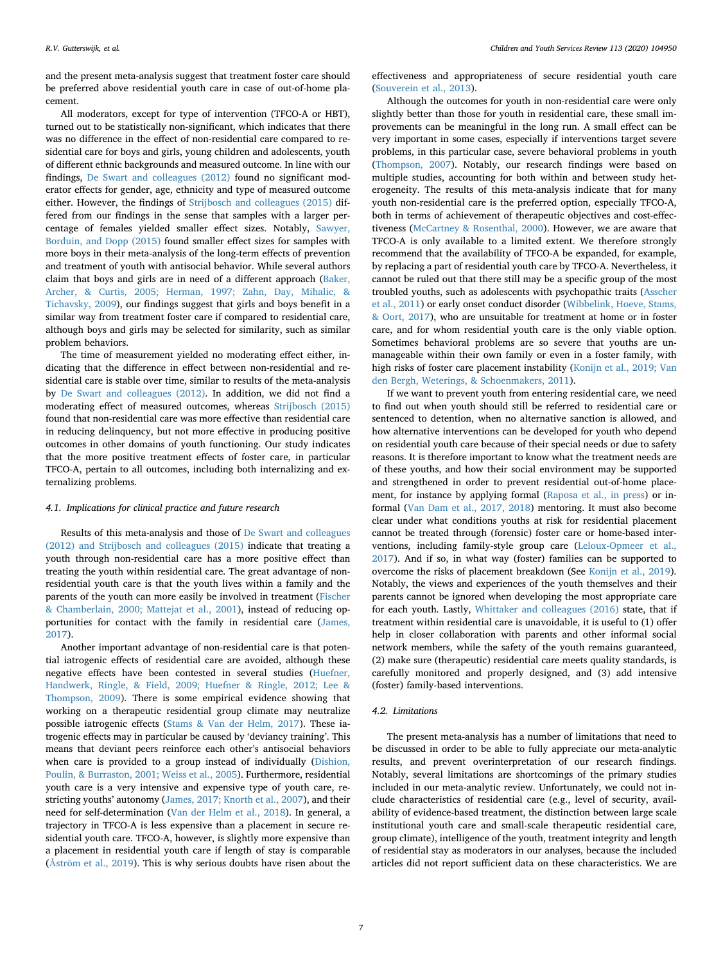and the present meta-analysis suggest that treatment foster care should be preferred above residential youth care in case of out-of-home placement.

All moderators, except for type of intervention (TFCO-A or HBT), turned out to be statistically non-significant, which indicates that there was no difference in the effect of non-residential care compared to residential care for boys and girls, young children and adolescents, youth of different ethnic backgrounds and measured outcome. In line with our findings, [De Swart and colleagues \(2012\)](#page-8-5) found no significant moderator effects for gender, age, ethnicity and type of measured outcome either. However, the findings of [Strijbosch and colleagues \(2015\)](#page-10-2) differed from our findings in the sense that samples with a larger percentage of females yielded smaller effect sizes. Notably, [Sawyer,](#page-9-15) [Borduin, and Dopp \(2015\)](#page-9-15) found smaller effect sizes for samples with more boys in their meta-analysis of the long-term effects of prevention and treatment of youth with antisocial behavior. While several authors claim that boys and girls are in need of a different approach [\(Baker,](#page-8-13) [Archer, & Curtis, 2005; Herman, 1997; Zahn, Day, Mihalic, &](#page-8-13) [Tichavsky, 2009\)](#page-8-13), our findings suggest that girls and boys benefit in a similar way from treatment foster care if compared to residential care, although boys and girls may be selected for similarity, such as similar problem behaviors.

The time of measurement yielded no moderating effect either, indicating that the difference in effect between non-residential and residential care is stable over time, similar to results of the meta-analysis by [De Swart and colleagues \(2012\)](#page-8-5). In addition, we did not find a moderating effect of measured outcomes, whereas [Strijbosch \(2015\)](#page-10-2) found that non-residential care was more effective than residential care in reducing delinquency, but not more effective in producing positive outcomes in other domains of youth functioning. Our study indicates that the more positive treatment effects of foster care, in particular TFCO-A, pertain to all outcomes, including both internalizing and externalizing problems.

## *4.1. Implications for clinical practice and future research*

Results of this meta-analysis and those of [De Swart and colleagues](#page-8-5) [\(2012\) and Strijbosch and colleagues \(2015\)](#page-8-5) indicate that treating a youth through non-residential care has a more positive effect than treating the youth within residential care. The great advantage of nonresidential youth care is that the youth lives within a family and the parents of the youth can more easily be involved in treatment [\(Fischer](#page-9-4) [& Chamberlain, 2000; Mattejat et al., 2001\)](#page-9-4), instead of reducing opportunities for contact with the family in residential care ([James,](#page-9-16) [2017\)](#page-9-16).

Another important advantage of non-residential care is that potential iatrogenic effects of residential care are avoided, although these negative effects have been contested in several studies ([Huefner,](#page-9-17) [Handwerk, Ringle, & Field, 2009; Huefner & Ringle, 2012; Lee &](#page-9-17) [Thompson, 2009](#page-9-17)). There is some empirical evidence showing that working on a therapeutic residential group climate may neutralize possible iatrogenic effects ([Stams & Van der Helm, 2017\)](#page-9-18). These iatrogenic effects may in particular be caused by 'deviancy training'. This means that deviant peers reinforce each other's antisocial behaviors when care is provided to a group instead of individually [\(Dishion,](#page-8-14) [Poulin, & Burraston, 2001; Weiss et al., 2005](#page-8-14)). Furthermore, residential youth care is a very intensive and expensive type of youth care, restricting youths' autonomy [\(James, 2017; Knorth et al., 2007\)](#page-9-16), and their need for self-determination ([Van der Helm et al., 2018](#page-10-1)). In general, a trajectory in TFCO-A is less expensive than a placement in secure residential youth care. TFCO-A, however, is slightly more expensive than a placement in residential youth care if length of stay is comparable (Å[ström et al., 2019](#page-8-15)). This is why serious doubts have risen about the

effectiveness and appropriateness of secure residential youth care ([Souverein et al., 2013](#page-9-0)).

Although the outcomes for youth in non-residential care were only slightly better than those for youth in residential care, these small improvements can be meaningful in the long run. A small effect can be very important in some cases, especially if interventions target severe problems, in this particular case, severe behavioral problems in youth ([Thompson, 2007\)](#page-10-10). Notably, our research findings were based on multiple studies, accounting for both within and between study heterogeneity. The results of this meta-analysis indicate that for many youth non-residential care is the preferred option, especially TFCO-A, both in terms of achievement of therapeutic objectives and cost-effectiveness [\(McCartney & Rosenthal, 2000\)](#page-9-19). However, we are aware that TFCO-A is only available to a limited extent. We therefore strongly recommend that the availability of TFCO-A be expanded, for example, by replacing a part of residential youth care by TFCO-A. Nevertheless, it cannot be ruled out that there still may be a specific group of the most troubled youths, such as adolescents with psychopathic traits ([Asscher](#page-8-16) [et al., 2011\)](#page-8-16) or early onset conduct disorder [\(Wibbelink, Hoeve, Stams,](#page-10-11) [& Oort, 2017](#page-10-11)), who are unsuitable for treatment at home or in foster care, and for whom residential youth care is the only viable option. Sometimes behavioral problems are so severe that youths are unmanageable within their own family or even in a foster family, with high risks of foster care placement instability ([Konijn et al., 2019; Van](#page-9-20) [den Bergh, Weterings, & Schoenmakers, 2011](#page-9-20)).

If we want to prevent youth from entering residential care, we need to find out when youth should still be referred to residential care or sentenced to detention, when no alternative sanction is allowed, and how alternative interventions can be developed for youth who depend on residential youth care because of their special needs or due to safety reasons. It is therefore important to know what the treatment needs are of these youths, and how their social environment may be supported and strengthened in order to prevent residential out-of-home placement, for instance by applying formal ([Raposa et al., in press](#page-9-21)) or informal ([Van Dam et al., 2017, 2018](#page-10-12)) mentoring. It must also become clear under what conditions youths at risk for residential placement cannot be treated through (forensic) foster care or home-based interventions, including family-style group care [\(Leloux-Opmeer et al.,](#page-9-22) [2017\)](#page-9-22). And if so, in what way (foster) families can be supported to overcome the risks of placement breakdown (See [Konijn et al., 2019](#page-9-20)). Notably, the views and experiences of the youth themselves and their parents cannot be ignored when developing the most appropriate care for each youth. Lastly, [Whittaker and colleagues \(2016\)](#page-10-0) state, that if treatment within residential care is unavoidable, it is useful to (1) offer help in closer collaboration with parents and other informal social network members, while the safety of the youth remains guaranteed, (2) make sure (therapeutic) residential care meets quality standards, is carefully monitored and properly designed, and (3) add intensive (foster) family-based interventions.

## *4.2. Limitations*

The present meta-analysis has a number of limitations that need to be discussed in order to be able to fully appreciate our meta-analytic results, and prevent overinterpretation of our research findings. Notably, several limitations are shortcomings of the primary studies included in our meta-analytic review. Unfortunately, we could not include characteristics of residential care (e.g., level of security, availability of evidence-based treatment, the distinction between large scale institutional youth care and small-scale therapeutic residential care, group climate), intelligence of the youth, treatment integrity and length of residential stay as moderators in our analyses, because the included articles did not report sufficient data on these characteristics. We are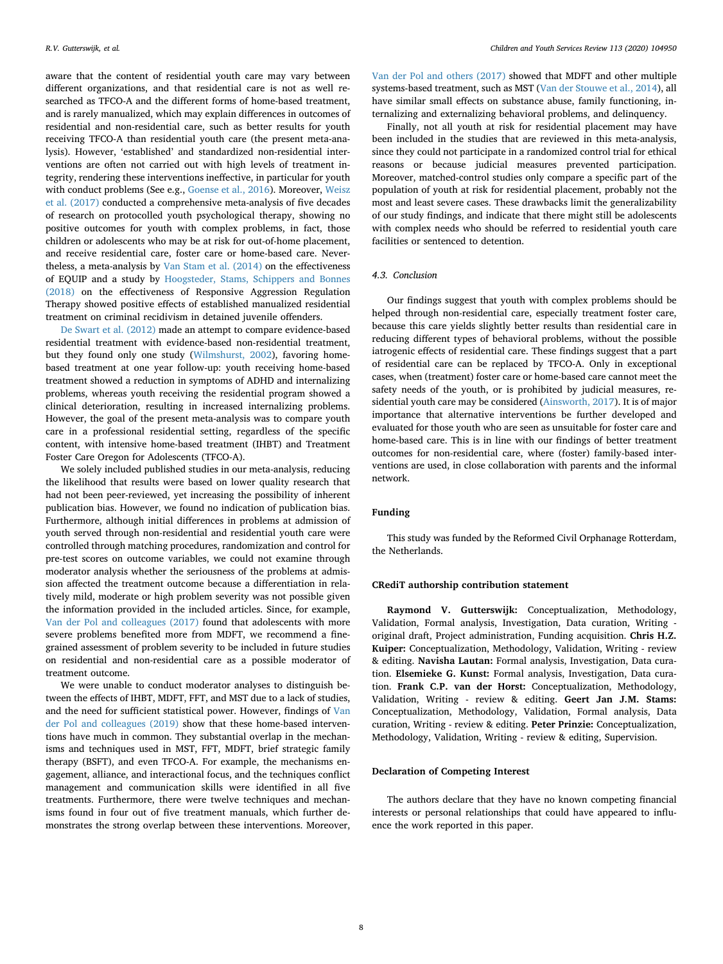aware that the content of residential youth care may vary between different organizations, and that residential care is not as well researched as TFCO-A and the different forms of home-based treatment, and is rarely manualized, which may explain differences in outcomes of residential and non-residential care, such as better results for youth receiving TFCO-A than residential youth care (the present meta-analysis). However, 'established' and standardized non-residential interventions are often not carried out with high levels of treatment integrity, rendering these interventions ineffective, in particular for youth with conduct problems (See e.g., [Goense et al., 2016](#page-9-23)). Moreover, [Weisz](#page-10-13) [et al. \(2017\)](#page-10-13) conducted a comprehensive meta-analysis of five decades of research on protocolled youth psychological therapy, showing no positive outcomes for youth with complex problems, in fact, those children or adolescents who may be at risk for out-of-home placement, and receive residential care, foster care or home-based care. Nevertheless, a meta-analysis by [Van Stam et al. \(2014\)](#page-10-14) on the effectiveness of EQUIP and a study by [Hoogsteder, Stams, Schippers and Bonnes](#page-9-24) [\(2018\)](#page-9-24) on the effectiveness of Responsive Aggression Regulation Therapy showed positive effects of established manualized residential treatment on criminal recidivism in detained juvenile offenders.

[De Swart et al. \(2012\)](#page-8-5) made an attempt to compare evidence-based residential treatment with evidence-based non-residential treatment, but they found only one study [\(Wilmshurst, 2002\)](#page-10-15), favoring homebased treatment at one year follow-up: youth receiving home-based treatment showed a reduction in symptoms of ADHD and internalizing problems, whereas youth receiving the residential program showed a clinical deterioration, resulting in increased internalizing problems. However, the goal of the present meta-analysis was to compare youth care in a professional residential setting, regardless of the specific content, with intensive home-based treatment (IHBT) and Treatment Foster Care Oregon for Adolescents (TFCO-A).

We solely included published studies in our meta-analysis, reducing the likelihood that results were based on lower quality research that had not been peer-reviewed, yet increasing the possibility of inherent publication bias. However, we found no indication of publication bias. Furthermore, although initial differences in problems at admission of youth served through non-residential and residential youth care were controlled through matching procedures, randomization and control for pre-test scores on outcome variables, we could not examine through moderator analysis whether the seriousness of the problems at admission affected the treatment outcome because a differentiation in relatively mild, moderate or high problem severity was not possible given the information provided in the included articles. Since, for example, [Van der Pol and colleagues \(2017\)](#page-10-5) found that adolescents with more severe problems benefited more from MDFT, we recommend a finegrained assessment of problem severity to be included in future studies on residential and non-residential care as a possible moderator of treatment outcome.

We were unable to conduct moderator analyses to distinguish between the effects of IHBT, MDFT, FFT, and MST due to a lack of studies, and the need for sufficient statistical power. However, findings of [Van](#page-10-16) [der Pol and colleagues \(2019\)](#page-10-16) show that these home-based interventions have much in common. They substantial overlap in the mechanisms and techniques used in MST, FFT, MDFT, brief strategic family therapy (BSFT), and even TFCO-A. For example, the mechanisms engagement, alliance, and interactional focus, and the techniques conflict management and communication skills were identified in all five treatments. Furthermore, there were twelve techniques and mechanisms found in four out of five treatment manuals, which further demonstrates the strong overlap between these interventions. Moreover,

[Van der Pol and others \(2017\)](#page-10-5) showed that MDFT and other multiple systems-based treatment, such as MST [\(Van der Stouwe et al., 2014\)](#page-10-7), all have similar small effects on substance abuse, family functioning, internalizing and externalizing behavioral problems, and delinquency.

Finally, not all youth at risk for residential placement may have been included in the studies that are reviewed in this meta-analysis, since they could not participate in a randomized control trial for ethical reasons or because judicial measures prevented participation. Moreover, matched-control studies only compare a specific part of the population of youth at risk for residential placement, probably not the most and least severe cases. These drawbacks limit the generalizability of our study findings, and indicate that there might still be adolescents with complex needs who should be referred to residential youth care facilities or sentenced to detention.

# *4.3. Conclusion*

Our findings suggest that youth with complex problems should be helped through non-residential care, especially treatment foster care, because this care yields slightly better results than residential care in reducing different types of behavioral problems, without the possible iatrogenic effects of residential care. These findings suggest that a part of residential care can be replaced by TFCO-A. Only in exceptional cases, when (treatment) foster care or home-based care cannot meet the safety needs of the youth, or is prohibited by judicial measures, residential youth care may be considered ([Ainsworth, 2017](#page-8-1)). It is of major importance that alternative interventions be further developed and evaluated for those youth who are seen as unsuitable for foster care and home-based care. This is in line with our findings of better treatment outcomes for non-residential care, where (foster) family-based interventions are used, in close collaboration with parents and the informal network.

### **Funding**

This study was funded by the Reformed Civil Orphanage Rotterdam, the Netherlands.

## **CRediT authorship contribution statement**

**Raymond V. Gutterswijk:** Conceptualization, Methodology, Validation, Formal analysis, Investigation, Data curation, Writing original draft, Project administration, Funding acquisition. **Chris H.Z. Kuiper:** Conceptualization, Methodology, Validation, Writing - review & editing. **Navisha Lautan:** Formal analysis, Investigation, Data curation. **Elsemieke G. Kunst:** Formal analysis, Investigation, Data curation. **Frank C.P. van der Horst:** Conceptualization, Methodology, Validation, Writing - review & editing. **Geert Jan J.M. Stams:** Conceptualization, Methodology, Validation, Formal analysis, Data curation, Writing - review & editing. **Peter Prinzie:** Conceptualization, Methodology, Validation, Writing - review & editing, Supervision.

## **Declaration of Competing Interest**

The authors declare that they have no known competing financial interests or personal relationships that could have appeared to influence the work reported in this paper.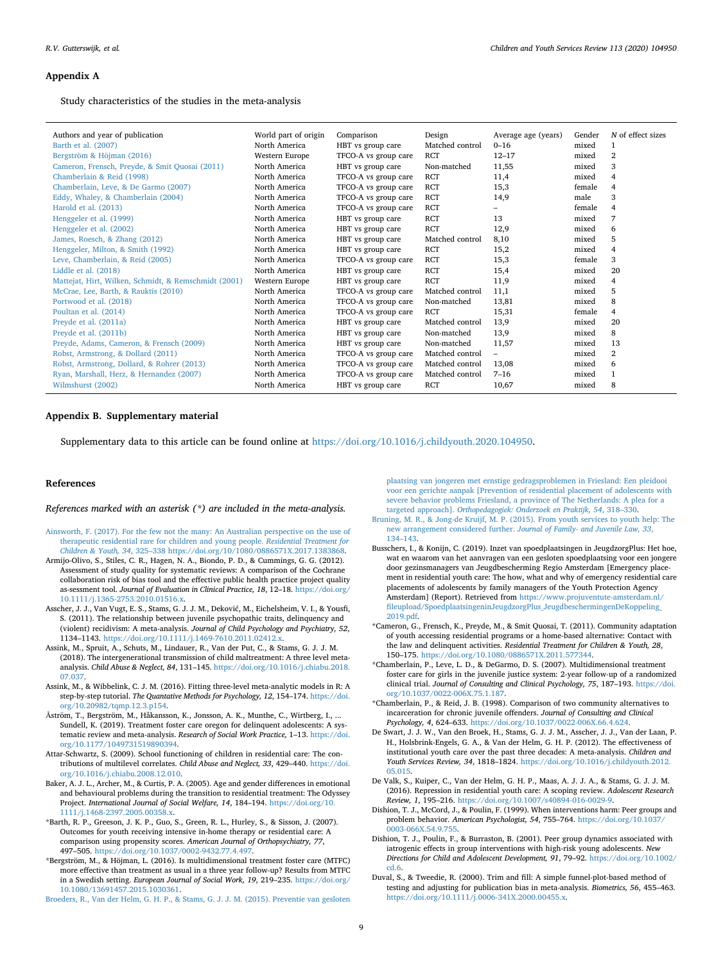#### <span id="page-8-12"></span>**Appendix A**

Study characteristics of the studies in the meta-analysis

| Barth et al. (2007)<br>North America<br>Matched control<br>HBT vs group care<br>$0 - 16$<br>1<br>mixed<br><b>RCT</b><br>$\overline{2}$<br>Bergström & Höjman (2016)<br>Western Europe<br>$12 - 17$<br>TFCO-A vs group care<br>mixed<br>3<br>Cameron, Frensch, Preyde, & Smit Quosai (2011)<br>North America<br>Non-matched<br>11,55<br>mixed<br>HBT vs group care<br><b>RCT</b><br>Chamberlain & Reid (1998)<br>North America<br>11,4<br>mixed<br>$\overline{4}$<br>TFCO-A vs group care<br><b>RCT</b><br>Chamberlain, Leve, & De Garmo (2007)<br>North America<br>female<br>TFCO-A vs group care<br>15,3<br>$\overline{4}$<br><b>RCT</b><br>3<br>Eddy, Whaley, & Chamberlain (2004)<br>male<br>North America<br>TFCO-A vs group care<br>14,9<br><b>RCT</b><br>Harold et al. (2013)<br>North America<br>TFCO-A vs group care<br>female<br>$\overline{4}$<br><b>RCT</b><br>13<br>7<br>Henggeler et al. (1999)<br>North America<br>HBT vs group care<br>mixed<br><b>RCT</b><br>North America<br>12,9<br>Henggeler et al. (2002)<br>HBT vs group care<br>mixed<br>6<br>5<br>James, Roesch, & Zhang (2012)<br>North America<br>HBT vs group care<br>Matched control<br>8,10<br>mixed<br><b>RCT</b><br>15,2<br>Henggeler, Milton, & Smith (1992)<br>North America<br>HBT vs group care<br>mixed<br>4<br>RCT<br>3<br>Leve, Chamberlain, & Reid (2005)<br>North America<br>15,3<br>TFCO-A vs group care<br>female<br><b>RCT</b><br>20<br>Liddle et al. (2018)<br>North America<br>HBT vs group care<br>15,4<br>mixed<br><b>RCT</b><br>Mattejat, Hirt, Wilken, Schmidt, & Remschmidt (2001)<br>Western Europe<br>11,9<br>4<br>HBT vs group care<br>mixed<br>North America<br>Matched control<br>11,1<br>5<br>McCrae, Lee, Barth, & Rauktis (2010)<br>TFCO-A vs group care<br>mixed | Authors and year of publication | World part of origin | Comparison           | Design      | Average age (years) | Gender | N of effect sizes |
|----------------------------------------------------------------------------------------------------------------------------------------------------------------------------------------------------------------------------------------------------------------------------------------------------------------------------------------------------------------------------------------------------------------------------------------------------------------------------------------------------------------------------------------------------------------------------------------------------------------------------------------------------------------------------------------------------------------------------------------------------------------------------------------------------------------------------------------------------------------------------------------------------------------------------------------------------------------------------------------------------------------------------------------------------------------------------------------------------------------------------------------------------------------------------------------------------------------------------------------------------------------------------------------------------------------------------------------------------------------------------------------------------------------------------------------------------------------------------------------------------------------------------------------------------------------------------------------------------------------------------------------------------------------------------------------------------------------------------------------------------------------------------|---------------------------------|----------------------|----------------------|-------------|---------------------|--------|-------------------|
|                                                                                                                                                                                                                                                                                                                                                                                                                                                                                                                                                                                                                                                                                                                                                                                                                                                                                                                                                                                                                                                                                                                                                                                                                                                                                                                                                                                                                                                                                                                                                                                                                                                                                                                                                                            |                                 |                      |                      |             |                     |        |                   |
|                                                                                                                                                                                                                                                                                                                                                                                                                                                                                                                                                                                                                                                                                                                                                                                                                                                                                                                                                                                                                                                                                                                                                                                                                                                                                                                                                                                                                                                                                                                                                                                                                                                                                                                                                                            |                                 |                      |                      |             |                     |        |                   |
|                                                                                                                                                                                                                                                                                                                                                                                                                                                                                                                                                                                                                                                                                                                                                                                                                                                                                                                                                                                                                                                                                                                                                                                                                                                                                                                                                                                                                                                                                                                                                                                                                                                                                                                                                                            |                                 |                      |                      |             |                     |        |                   |
|                                                                                                                                                                                                                                                                                                                                                                                                                                                                                                                                                                                                                                                                                                                                                                                                                                                                                                                                                                                                                                                                                                                                                                                                                                                                                                                                                                                                                                                                                                                                                                                                                                                                                                                                                                            |                                 |                      |                      |             |                     |        |                   |
|                                                                                                                                                                                                                                                                                                                                                                                                                                                                                                                                                                                                                                                                                                                                                                                                                                                                                                                                                                                                                                                                                                                                                                                                                                                                                                                                                                                                                                                                                                                                                                                                                                                                                                                                                                            |                                 |                      |                      |             |                     |        |                   |
|                                                                                                                                                                                                                                                                                                                                                                                                                                                                                                                                                                                                                                                                                                                                                                                                                                                                                                                                                                                                                                                                                                                                                                                                                                                                                                                                                                                                                                                                                                                                                                                                                                                                                                                                                                            |                                 |                      |                      |             |                     |        |                   |
|                                                                                                                                                                                                                                                                                                                                                                                                                                                                                                                                                                                                                                                                                                                                                                                                                                                                                                                                                                                                                                                                                                                                                                                                                                                                                                                                                                                                                                                                                                                                                                                                                                                                                                                                                                            |                                 |                      |                      |             |                     |        |                   |
|                                                                                                                                                                                                                                                                                                                                                                                                                                                                                                                                                                                                                                                                                                                                                                                                                                                                                                                                                                                                                                                                                                                                                                                                                                                                                                                                                                                                                                                                                                                                                                                                                                                                                                                                                                            |                                 |                      |                      |             |                     |        |                   |
|                                                                                                                                                                                                                                                                                                                                                                                                                                                                                                                                                                                                                                                                                                                                                                                                                                                                                                                                                                                                                                                                                                                                                                                                                                                                                                                                                                                                                                                                                                                                                                                                                                                                                                                                                                            |                                 |                      |                      |             |                     |        |                   |
|                                                                                                                                                                                                                                                                                                                                                                                                                                                                                                                                                                                                                                                                                                                                                                                                                                                                                                                                                                                                                                                                                                                                                                                                                                                                                                                                                                                                                                                                                                                                                                                                                                                                                                                                                                            |                                 |                      |                      |             |                     |        |                   |
|                                                                                                                                                                                                                                                                                                                                                                                                                                                                                                                                                                                                                                                                                                                                                                                                                                                                                                                                                                                                                                                                                                                                                                                                                                                                                                                                                                                                                                                                                                                                                                                                                                                                                                                                                                            |                                 |                      |                      |             |                     |        |                   |
|                                                                                                                                                                                                                                                                                                                                                                                                                                                                                                                                                                                                                                                                                                                                                                                                                                                                                                                                                                                                                                                                                                                                                                                                                                                                                                                                                                                                                                                                                                                                                                                                                                                                                                                                                                            |                                 |                      |                      |             |                     |        |                   |
|                                                                                                                                                                                                                                                                                                                                                                                                                                                                                                                                                                                                                                                                                                                                                                                                                                                                                                                                                                                                                                                                                                                                                                                                                                                                                                                                                                                                                                                                                                                                                                                                                                                                                                                                                                            |                                 |                      |                      |             |                     |        |                   |
|                                                                                                                                                                                                                                                                                                                                                                                                                                                                                                                                                                                                                                                                                                                                                                                                                                                                                                                                                                                                                                                                                                                                                                                                                                                                                                                                                                                                                                                                                                                                                                                                                                                                                                                                                                            |                                 |                      |                      |             |                     |        |                   |
|                                                                                                                                                                                                                                                                                                                                                                                                                                                                                                                                                                                                                                                                                                                                                                                                                                                                                                                                                                                                                                                                                                                                                                                                                                                                                                                                                                                                                                                                                                                                                                                                                                                                                                                                                                            |                                 |                      |                      |             |                     |        |                   |
|                                                                                                                                                                                                                                                                                                                                                                                                                                                                                                                                                                                                                                                                                                                                                                                                                                                                                                                                                                                                                                                                                                                                                                                                                                                                                                                                                                                                                                                                                                                                                                                                                                                                                                                                                                            | Portwood et al. (2018)          | North America        | TFCO-A vs group care | Non-matched | 13,81               | mixed  | 8                 |
| Poultan et al. (2014)<br>North America<br><b>RCT</b><br>15,31<br>TFCO-A vs group care<br>female<br>4                                                                                                                                                                                                                                                                                                                                                                                                                                                                                                                                                                                                                                                                                                                                                                                                                                                                                                                                                                                                                                                                                                                                                                                                                                                                                                                                                                                                                                                                                                                                                                                                                                                                       |                                 |                      |                      |             |                     |        |                   |
| Matched control<br>13,9<br>20<br>Preyde et al. (2011a)<br>North America<br>HBT vs group care<br>mixed                                                                                                                                                                                                                                                                                                                                                                                                                                                                                                                                                                                                                                                                                                                                                                                                                                                                                                                                                                                                                                                                                                                                                                                                                                                                                                                                                                                                                                                                                                                                                                                                                                                                      |                                 |                      |                      |             |                     |        |                   |
| 8<br>13,9<br>Preyde et al. (2011b)<br>North America<br>HBT vs group care<br>Non-matched<br>mixed                                                                                                                                                                                                                                                                                                                                                                                                                                                                                                                                                                                                                                                                                                                                                                                                                                                                                                                                                                                                                                                                                                                                                                                                                                                                                                                                                                                                                                                                                                                                                                                                                                                                           |                                 |                      |                      |             |                     |        |                   |
| Preyde, Adams, Cameron, & Frensch (2009)<br>North America<br>HBT vs group care<br>Non-matched<br>11,57<br>13<br>mixed                                                                                                                                                                                                                                                                                                                                                                                                                                                                                                                                                                                                                                                                                                                                                                                                                                                                                                                                                                                                                                                                                                                                                                                                                                                                                                                                                                                                                                                                                                                                                                                                                                                      |                                 |                      |                      |             |                     |        |                   |
| $\overline{2}$<br>Matched control<br>Robst, Armstrong, & Dollard (2011)<br>North America<br>TFCO-A vs group care<br>mixed<br>$\equiv$                                                                                                                                                                                                                                                                                                                                                                                                                                                                                                                                                                                                                                                                                                                                                                                                                                                                                                                                                                                                                                                                                                                                                                                                                                                                                                                                                                                                                                                                                                                                                                                                                                      |                                 |                      |                      |             |                     |        |                   |
| Matched control<br>Robst, Armstrong, Dollard, & Rohrer (2013)<br>6<br>North America<br>TFCO-A vs group care<br>13,08<br>mixed                                                                                                                                                                                                                                                                                                                                                                                                                                                                                                                                                                                                                                                                                                                                                                                                                                                                                                                                                                                                                                                                                                                                                                                                                                                                                                                                                                                                                                                                                                                                                                                                                                              |                                 |                      |                      |             |                     |        |                   |
| Matched control<br>Ryan, Marshall, Herz, & Hernandez (2007)<br>North America<br>$7 - 16$<br>1<br>TFCO-A vs group care<br>mixed                                                                                                                                                                                                                                                                                                                                                                                                                                                                                                                                                                                                                                                                                                                                                                                                                                                                                                                                                                                                                                                                                                                                                                                                                                                                                                                                                                                                                                                                                                                                                                                                                                             |                                 |                      |                      |             |                     |        |                   |
| <b>RCT</b><br>Wilmshurst (2002)<br>North America<br>8<br>HBT vs group care<br>10,67<br>mixed                                                                                                                                                                                                                                                                                                                                                                                                                                                                                                                                                                                                                                                                                                                                                                                                                                                                                                                                                                                                                                                                                                                                                                                                                                                                                                                                                                                                                                                                                                                                                                                                                                                                               |                                 |                      |                      |             |                     |        |                   |

#### **Appendix B. Supplementary material**

Supplementary data to this article can be found online at [https://doi.org/10.1016/j.childyouth.2020.104950.](https://doi.org/10.1016/j.childyouth.2020.104950)

#### **References**

*References marked with an asterisk (\*) are included in the meta-analysis.*

- <span id="page-8-1"></span>[Ainsworth, F. \(2017\). For the few not the many: An Australian perspective on the use of](http://refhub.elsevier.com/S0190-7409(19)31317-9/h0005) [therapeutic residential rare for children and young people.](http://refhub.elsevier.com/S0190-7409(19)31317-9/h0005) *Residential Treatment for Children & Youth, 34*[, 325–338 https://doi.org/10/1080/0886571X.2017.1383868.](http://refhub.elsevier.com/S0190-7409(19)31317-9/h0005)
- <span id="page-8-9"></span>Armijo-Olivo, S., Stiles, C. R., Hagen, N. A., Biondo, P. D., & Cummings, G. G. (2012). Assessment of study quality for systematic reviews: A comparison of the Cochrane collaboration risk of bias tool and the effective public health practice project quality as-sessment tool. *Journal of Evaluation in Clinical Practice, 18*, 12–18. [https://doi.org/](https://doi.org/10.1111/j.1365-2753.2010.01516.x) [10.1111/j.1365-2753.2010.01516.x](https://doi.org/10.1111/j.1365-2753.2010.01516.x).
- <span id="page-8-16"></span>Asscher, J. J., Van Vugt, E. S., Stams, G. J. J. M., Deković, M., Eichelsheim, V. I., & Yousfi, S. (2011). The relationship between juvenile psychopathic traits, delinquency and (violent) recidivism: A meta-analysis. *Journal of Child Psychology and Psychiatry, 52*, 1134–1143. <https://doi.org/10.1111/j.1469-7610.2011.02412.x>.
- <span id="page-8-11"></span>Assink, M., Spruit, A., Schuts, M., Lindauer, R., Van der Put, C., & Stams, G. J. J. M. (2018). The intergenerational transmission of child maltreatment: A three level metaanalysis. *Child Abuse & Neglect, 84*, 131–145. [https://doi.org/10.1016/j.chiabu.2018.](https://doi.org/10.1016/j.chiabu.2018.07.037) [07.037](https://doi.org/10.1016/j.chiabu.2018.07.037).
- <span id="page-8-8"></span>Assink, M., & Wibbelink, C. J. M. (2016). Fitting three-level meta-analytic models in R: A step-by-step tutorial. *The Quantative Methods for Psychology, 12*, 154–174. [https://doi.](https://doi.org/10.20982/tqmp.12.3.p154) [org/10.20982/tqmp.12.3.p154](https://doi.org/10.20982/tqmp.12.3.p154).
- <span id="page-8-15"></span>Åström, T., Bergström, M., Håkansson, K., Jonsson, A. K., Munthe, C., Wirtberg, I., ... Sundell, K. (2019). Treatment foster care oregon for delinquent adolescents: A systematic review and meta-analysis. *Research of Social Work Practice,* 1–13. [https://doi.](https://doi.org/10.1177/1049731519890394) [org/10.1177/1049731519890394.](https://doi.org/10.1177/1049731519890394)
- <span id="page-8-0"></span>Attar-Schwartz, S. (2009). School functioning of children in residential care: The contributions of multilevel correlates. *Child Abuse and Neglect, 33*, 429–440. [https://doi.](https://doi.org/10.1016/j.chiabu.2008.12.010) [org/10.1016/j.chiabu.2008.12.010.](https://doi.org/10.1016/j.chiabu.2008.12.010)
- <span id="page-8-13"></span>Baker, A. J. L., Archer, M., & Curtis, P. A. (2005). Age and gender differences in emotional and behavioural problems during the transition to residential treatment: The Odyssey Project. *International Journal of Social Welfare, 14*, 184–194. [https://doi.org/10.](https://doi.org/10.1111/j.1468-2397.2005.00358.x) [1111/j.1468-2397.2005.00358.x](https://doi.org/10.1111/j.1468-2397.2005.00358.x).
- <span id="page-8-17"></span>\*Barth, R. P., Greeson, J. K. P., Guo, S., Green, R. L., Hurley, S., & Sisson, J. (2007). Outcomes for youth receiving intensive in-home therapy or residential care: A comparison using propensity scores. *American Journal of Orthopsychiatry, 77*, 497–505. [https://doi.org/10.1037/0002-9432.77.4.497.](https://doi.org/10.1037/0002-9432.77.4.497)
- <span id="page-8-6"></span>\*Bergström, M., & Höjman, L. (2016). Is multidimensional treatment foster care (MTFC) more effective than treatment as usual in a three year follow-up? Results from MTFC in a Swedish setting. *European Journal of Social Work, 19*, 219–235. [https://doi.org/](https://doi.org/10.1080/13691457.2015.1030361) [10.1080/13691457.2015.1030361.](https://doi.org/10.1080/13691457.2015.1030361)

<span id="page-8-3"></span>[Broeders, R., Van der Helm, G. H. P., & Stams, G. J. J. M. \(2015\). Preventie van gesloten](http://refhub.elsevier.com/S0190-7409(19)31317-9/h0055)

[plaatsing van jongeren met ernstige gedragsproblemen in Friesland: Een pleidooi](http://refhub.elsevier.com/S0190-7409(19)31317-9/h0055) [voor een gerichte aanpak \[Prevention of residential placement of adolescents with](http://refhub.elsevier.com/S0190-7409(19)31317-9/h0055) [severe behavior problems Friesland, a province of The Netherlands: A plea for a](http://refhub.elsevier.com/S0190-7409(19)31317-9/h0055) targeted approach]. *[Orthopedagogiek: Onderzoek en Praktijk, 54](http://refhub.elsevier.com/S0190-7409(19)31317-9/h0055)*, 318–330.

- [Bruning, M. R., & Jong-de Kruijf, M. P. \(2015\). From youth services to youth help: The](http://refhub.elsevier.com/S0190-7409(19)31317-9/h0060) new arrangement considered further. *[Journal of Family- and Juvenile Law, 33](http://refhub.elsevier.com/S0190-7409(19)31317-9/h0060)*, [134–143](http://refhub.elsevier.com/S0190-7409(19)31317-9/h0060).
- <span id="page-8-2"></span>Busschers, I., & Konijn, C. (2019). Inzet van spoedplaatsingen in JeugdzorgPlus: Het hoe, wat en waarom van het aanvragen van een gesloten spoedplaatsing voor een jongere door gezinsmanagers van Jeugdbescherming Regio Amsterdam [Emergency placement in residential youth care: The how, what and why of emergency residential care placements of adolescents by family managers of the Youth Protection Agency Amsterdam] (Report). Retrieved from [https://www.projuventute-amsterdam.nl/](https://www.projuventute-amsterdam.nl/fileupload/SpoedplaatsingeninJeugdzorgPlus_JeugdbeschermingenDeKoppeling_2019.pdf) [fileupload/SpoedplaatsingeninJeugdzorgPlus\\_JeugdbeschermingenDeKoppeling\\_](https://www.projuventute-amsterdam.nl/fileupload/SpoedplaatsingeninJeugdzorgPlus_JeugdbeschermingenDeKoppeling_2019.pdf) [2019.pdf.](https://www.projuventute-amsterdam.nl/fileupload/SpoedplaatsingeninJeugdzorgPlus_JeugdbeschermingenDeKoppeling_2019.pdf)
- <span id="page-8-18"></span>\*Cameron, G., Frensch, K., Preyde, M., & Smit Quosai, T. (2011). Community adaptation of youth accessing residential programs or a home-based alternative: Contact with the law and delinquent activities. *Residential Treatment for Children & Youth, 28*, 150–175. [https://doi.org/10.1080/0886571X.2011.577344.](https://doi.org/10.1080/0886571X.2011.577344)
- <span id="page-8-19"></span>\*Chamberlain, P., Leve, L. D., & DeGarmo, D. S. (2007). Multidimensional treatment foster care for girls in the juvenile justice system: 2-year follow-up of a randomized clinical trial. *Journal of Consulting and Clinical Psychology, 75*, 187–193. [https://doi.](https://doi.org/10.1037/0022-006X.75.1.187) [org/10.1037/0022-006X.75.1.187.](https://doi.org/10.1037/0022-006X.75.1.187)
- <span id="page-8-7"></span>\*Chamberlain, P., & Reid, J. B. (1998). Comparison of two community alternatives to incarceration for chronic juvenile offenders. *Journal of Consulting and Clinical Psychology, 4*, 624–633. [https://doi.org/10.1037/0022-006X.66.4.624.](https://doi.org/10.1037/0022-006X.66.4.624)
- <span id="page-8-5"></span>De Swart, J. J. W., Van den Broek, H., Stams, G. J. J. M., Asscher, J. J., Van der Laan, P. H., Holsbrink-Engels, G. A., & Van der Helm, G. H. P. (2012). The effectiveness of institutional youth care over the past three decades: A meta-analysis. *Children and Youth Services Review, 34*, 1818–1824. [https://doi.org/10.1016/j.childyouth.2012.](https://doi.org/10.1016/j.childyouth.2012.05.015) [05.015](https://doi.org/10.1016/j.childyouth.2012.05.015).
- <span id="page-8-4"></span>De Valk, S., Kuiper, C., Van der Helm, G. H. P., Maas, A. J. J. A., & Stams, G. J. J. M. (2016). Repression in residential youth care: A scoping review. *Adolescent Research Review, 1*, 195–216. <https://doi.org/10.1007/s40894-016-0029-9>.
- Dishion, T. J., McCord, J., & Poulin, F. (1999). When interventions harm: Peer groups and problem behavior. *American Psychologist, 54*, 755–764. [https://doi.org/10.1037/](https://doi.org/10.1037/0003-066X.54.9.755) [0003-066X.54.9.755.](https://doi.org/10.1037/0003-066X.54.9.755)
- <span id="page-8-14"></span>Dishion, T. J., Poulin, F., & Burraston, B. (2001). Peer group dynamics associated with iatrogenic effects in group interventions with high-risk young adolescents. *New Directions for Child and Adolescent Development, 91*, 79–92. [https://doi.org/10.1002/](https://doi.org/10.1002/cd.6) [cd.6.](https://doi.org/10.1002/cd.6)
- <span id="page-8-10"></span>Duval, S., & Tweedie, R. (2000). Trim and fill: A simple funnel-plot-based method of testing and adjusting for publication bias in meta-analysis. *Biometrics, 56*, 455–463. <https://doi.org/10.1111/j.0006-341X.2000.00455.x>.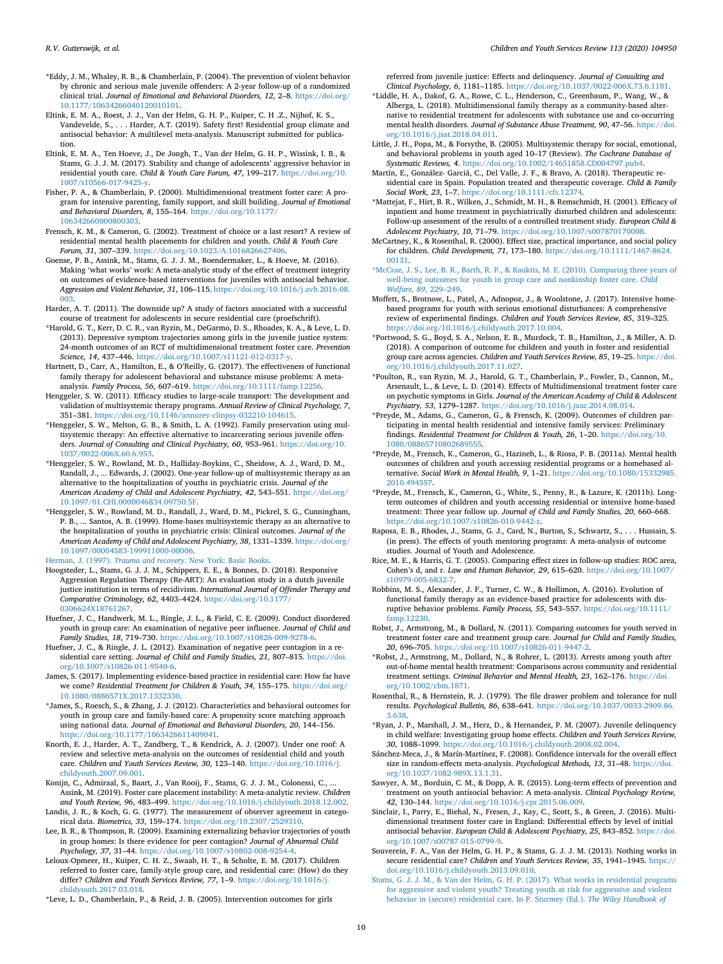- <span id="page-9-25"></span>\*Eddy, J. M., Whaley, R. B., & Chamberlain, P. (2004). The prevention of violent behavior by chronic and serious male juvenile offenders: A 2-year follow-up of a randomized clinical trial. *Journal of Emotional and Behavioral Disorders, 12*, 2–8. [https://doi.org/](https://doi.org/10.1177/10634266040120010101) [10.1177/10634266040120010101.](https://doi.org/10.1177/10634266040120010101)
- <span id="page-9-3"></span>Eltink, E. M. A., Roest, J. J., Van der Helm, G. H. P., Kuiper, C. H .Z., Nijhof, K. S., Vandevelde, S., . . . Harder, A.T. (2019). Safety first! Residential group climate and antisocial behavior: A multilevel meta-analysis. Manuscript submitted for publication.
- Eltink, E. M. A., Ten Hoeve, J., De Jongh, T., Van der Helm, G. H. P., Wissink, I. B., & Stams, G. J. J. M. (2017). Stability and change of adolescents' aggressive behavior in residential youth care. *Child & Youth Care Forum, 47*, 199–217. [https://doi.org/10.](https://doi.org/10.1007/s10566-017-9425-y) [1007/s10566-017-9425-y](https://doi.org/10.1007/s10566-017-9425-y).
- <span id="page-9-4"></span>Fisher, P. A., & Chamberlain, P. (2000). Multidimensional treatment foster care: A program for intensive parenting, family support, and skill building. *Journal of Emotional and Behavioral Disorders, 8*, 155–164. [https://doi.org/10.1177/](https://doi.org/10.1177/106342660000800303) [106342660000800303](https://doi.org/10.1177/106342660000800303).
- Frensch, K. M., & Cameron, G. (2002). Treatment of choice or a last resort? A review of residential mental health placements for children and youth. *Child & Youth Care Forum, 31*, 307–339. [https://doi.org/10.1023/A:1016826627406.](https://doi.org/10.1023/A:1016826627406)
- <span id="page-9-23"></span>Goense, P. B., Assink, M., Stams, G. J. J. M., Boendermaker, L., & Hoeve, M. (2016). Making 'what works' work: A meta-analytic study of the effect of treatment integrity on outcomes of evidence-based interventions for juveniles with antisocial behavior. *Aggression and Violent Behavior, 31*, 106–115. [https://doi.org/10.1016/j.avb.2016.08.](https://doi.org/10.1016/j.avb.2016.08.003) [003](https://doi.org/10.1016/j.avb.2016.08.003).
- <span id="page-9-1"></span>Harder, A. T. (2011). The downside up? A study of factors associated with a successful course of treatment for adolescents in secure residential care (proefschrift).
- <span id="page-9-26"></span>\*Harold, G. T., Kerr, D. C. R., van Ryzin, M., DeGarmo, D. S., Rhoades, K. A., & Leve, L. D. (2013). Depressive symptom trajectories among girls in the juvenile justice system: 24-month outcomes of an RCT of multidimensional treatment foster care. *Prevention Science, 14*, 437–446. <https://doi.org/10.1007/s11121-012-0317-y>.
- <span id="page-9-8"></span>Hartnett, D., Carr, A., Hamilton, E., & O'Reilly, G. (2017). The effectiveness of functional family therapy for adolescent behavioral and substance misuse problems: A metaanalysis. *Family Process, 56*, 607–619. [https://doi.org/10.1111/famp.12256.](https://doi.org/10.1111/famp.12256)
- <span id="page-9-9"></span>Henggeler, S. W. (2011). Efficacy studies to large-scale transport: The development and validation of multisystemic therapy programs. *Annual Review of Clinical Psychology, 7*, 351–381. <https://doi.org/10.1146/annurev-clinpsy-032210-104615>.
- <span id="page-9-30"></span>\*Henggeler, S. W., Melton, G. B., & Smith, L. A. (1992). Family preservation using multisystemic therapy: An effective alternative to incarcerating serious juvenile offenders. *Journal of Consulting and Clinical Psychiatry, 60*, 953–961. [https://doi.org/10.](https://doi.org/10.1037/0022-006X.60.6.953) [1037/0022-006X.60.6.953](https://doi.org/10.1037/0022-006X.60.6.953).
- <span id="page-9-28"></span>\*Henggeler, S. W., Rowland, M. D., Halliday-Boykins, C., Sheidow, A. J., Ward, D. M., Randall, J., ... Edwards, J. (2002). One-year follow-up of multisystemic therapy as an alternative to the hospitalization of youths in psychiatric crisis. *Journal of the American Academy of Child and Adolescent Psychiatry, 42*, 543–551. [https://doi.org/](https://doi.org/10.1097/01.CHI.0000046834.09750.5F) [10.1097/01.CHI.0000046834.09750.5F](https://doi.org/10.1097/01.CHI.0000046834.09750.5F).
- <span id="page-9-27"></span>\*Henggeler, S. W., Rowland, M. D., Randall, J., Ward, D. M., Pickrel, S. G., Cunningham, P. B., ... Santos, A. B. (1999). Home-bases multisystemic therapy as an alternative to the hospitalization of youths in psychiatric crisis: Clinical outcomes. *Journal of the American Academy of Child and Adolescent Psychiatry, 38*, 1331–1339. [https://doi.org/](https://doi.org/10.1097/00004583-199911000-00006) [10.1097/00004583-199911000-00006](https://doi.org/10.1097/00004583-199911000-00006).

Herman, J. (1997). *Trauma and recovery.* [New York: Basic Books](http://refhub.elsevier.com/S0190-7409(19)31317-9/h0190).

- <span id="page-9-24"></span>Hoogsteder, L., Stams, G. J. J. M., Schippers, E. E., & Bonnes, D. (2018). Responsive Aggression Regulation Therapy (Re-ART): An evaluation study in a dutch juvenile justice institution in terms of recidivism. *International Journal of Offender Therapy and Comparative Criminology, 62*, 4403–4424. [https://doi.org/10.1177/](https://doi.org/10.1177/0306624X18761267) [0306624X18761267](https://doi.org/10.1177/0306624X18761267).
- <span id="page-9-17"></span>Huefner, J. C., Handwerk, M. L., Ringle, J. L., & Field, C. E. (2009). Conduct disordered youth in group care: An examination of negative peer influence. *Journal of Child and Family Studies, 18*, 719–730. <https://doi.org/10.1007/s10826-009-9278-6>.
- Huefner, J. C., & Ringle, J. L. (2012). Examination of negative peer contagion in a residential care setting. *Journal of Child and Family Studies, 21*, 807–815. [https://doi.](https://doi.org/10.1007/s10826-011-9540-6) [org/10.1007/s10826-011-9540-6.](https://doi.org/10.1007/s10826-011-9540-6)
- <span id="page-9-16"></span>James, S. (2017). Implementing evidence-based practice in residential care: How far have we come? *Residential Treatment for Children & Youth, 34*, 155–175. [https://doi.org/](https://doi.org/10.1080/0886571X.2017.1332330) [10.1080/0886571X.2017.1332330](https://doi.org/10.1080/0886571X.2017.1332330).
- <span id="page-9-29"></span>\*James, S., Roesch, S., & Zhang, J. J. (2012). Characteristics and behavioral outcomes for youth in group care and family-based care: A propensity score matching approach using national data. *Journal of Emotional and Behavioral Disorders, 20*, 144–156. [https://doi.org/10.1177/1063426611409041.](https://doi.org/10.1177/1063426611409041)
- Knorth, E. J., Harder, A. T., Zandberg, T., & Kendrick, A. J. (2007). Under one roof: A review and selective meta-analysis on the outcomes of residential child and youth care. *Children and Youth Services Review, 30*, 123–140. [https://doi.org/10.1016/j.](https://doi.org/10.1016/j.childyouth.2007.09.001) [childyouth.2007.09.001.](https://doi.org/10.1016/j.childyouth.2007.09.001)
- <span id="page-9-20"></span>Konijn, C., Admiraal, S., Baart, J., Van Rooij, F., Stams, G. J. J. M., Colonessi, C. Assink, M. (2019). Foster care placement instability: A meta-analytic review. *Children and Youth Review, 96*, 483–499. [https://doi.org/10.1016/j.childyouth.2018.12.002.](https://doi.org/10.1016/j.childyouth.2018.12.002)
- <span id="page-9-11"></span>Landis, J. R., & Koch, G. G. (1977). The measurement of observer agreement in categorical data. *Biometrics, 33*, 159–174. <https://doi.org/10.2307/2529310>.
- Lee, B. R., & Thompson, R. (2009). Examining externalizing behavior trajectories of youth in group homes: Is there evidence for peer contagion? *Journal of Abnormal Child Psychology, 37*, 31–44. <https://doi.org/10.1007/s10802-008-9254-4>.
- <span id="page-9-22"></span>Leloux-Opmeer, H., Kuiper, C. H. Z., Swaab, H. T., & Scholte, E. M. (2017). Children referred to foster care, family-style group care, and residential care: (How) do they differ? *Children and Youth Services Review, 77*, 1–9. [https://doi.org/10.1016/j.](https://doi.org/10.1016/j.childyouth.2017.03.018) [childyouth.2017.03.018.](https://doi.org/10.1016/j.childyouth.2017.03.018)

<span id="page-9-31"></span>\*Leve, L. D., Chamberlain, P., & Reid, J. B. (2005). Intervention outcomes for girls

referred from juvenile justice: Effects and delinquency. *Journal of Consulting and Clinical Psychology, 6*, 1181–1185. [https://doi.org/10.1037/0022-006X.73.6.1181.](https://doi.org/10.1037/0022-006X.73.6.1181)

- <span id="page-9-32"></span>\*Liddle, H. A., Dakof, G. A., Rowe, C. L., Henderson, C., Greenbaum, P., Wang, W., & Alberga, L. (2018). Multidimensional family therapy as a community-based alternative to residential treatment for adolescents with substance use and co-occurring mental health disorders. *Journal of Substance Abuse Treatment, 90*, 47–56. [https://doi.](https://doi.org/10.1016/j.jsat.2018.04.011) [org/10.1016/j.jsat.2018.04.011.](https://doi.org/10.1016/j.jsat.2018.04.011)
- <span id="page-9-10"></span>Little, J. H., Popa, M., & Forsythe, B. (2005). Multisystemic therapy for social, emotional, and behavioral problems in youth aged 10–17 (Review). *The Cochrane Database of Systematic Reviews, 4*. [https://doi.org/10.1002/14651858.CD004797.pub4.](https://doi.org/10.1002/14651858.CD004797.pub4)
- Martín, E., González- Garciá, C., Del Valle, J. F., & Bravo, A. (2018). Therapeutic residential care in Spain. Population treated and therapeutic coverage. *Child & Family Social Work, 23*, 1–7. [https://doi.org/10.1111/cfs.12374.](https://doi.org/10.1111/cfs.12374)
- <span id="page-9-5"></span>\*Mattejat, F., Hirt, B. R., Wilken, J., Schmidt, M. H., & Remschmidt, H. (2001). Efficacy of inpatient and home treatment in psychiatrically disturbed children and adolescents: Follow-up assessment of the results of a controlled treatment study. *European Child & Adolescent Psychiatry, 10*, 71–79. [https://doi.org/10.1007/s007870170008.](https://doi.org/10.1007/s007870170008)
- <span id="page-9-19"></span>McCartney, K., & Rosenthal, R. (2000). Effect size, practical importance, and social policy for children. *Child Development, 71*, 173–180. [https://doi.org/10.1111/1467-8624.](https://doi.org/10.1111/1467-8624.00131) [00131.](https://doi.org/10.1111/1467-8624.00131)
- <span id="page-9-33"></span>[\\*McCrae, J. S., Lee, B. R., Barth, R. P., & Rauktis, M. E. \(2010\). Comparing three years of](http://refhub.elsevier.com/S0190-7409(19)31317-9/h0265) [well-being outcomes for youth in group care and nonkinship foster care.](http://refhub.elsevier.com/S0190-7409(19)31317-9/h0265) *Child [Welfare, 89](http://refhub.elsevier.com/S0190-7409(19)31317-9/h0265)*, 229–249.
- <span id="page-9-6"></span>Moffett, S., Brotnow, L., Patel, A., Adnopoz, J., & Woolstone, J. (2017). Intensive homebased programs for youth with serious emotional disturbances: A comprehensive review of experimental findings. *Children and Youth Services Review, 85*, 319–325. <https://doi.org/10.1016/j.childyouth.2017.10.004>.
- <span id="page-9-34"></span>\*Portwood, S. G., Boyd, S. A., Nelson, E. B., Murdock, T. B., Hamilton, J., & Miller, A. D. (2018). A comparison of outcome for children and youth in foster and residential group care across agencies. *Children and Youth Services Review, 85*, 19–25. [https://doi.](https://doi.org/10.1016/j.childyouth.2017.11.027) [org/10.1016/j.childyouth.2017.11.027](https://doi.org/10.1016/j.childyouth.2017.11.027).
- <span id="page-9-35"></span>\*Poulton, R., van Ryzin, M. J., Harold, G. T., Chamberlain, P., Fowler, D., Cannon, M., Arsenault, L., & Leve, L. D. (2014). Effects of Multidimensional treatment foster care on psychotic symptoms in Girls. *Journal of the American Academy of Child & Adolescent Psychiatry, 53*, 1279–1287. <https://doi.org/10.1016/j.jaac.2014.08.014>.
- <span id="page-9-37"></span>\*Preyde, M., Adams, G., Cameron, G., & Frensch, K. (2009). Outcomes of children participating in mental health residential and intensive family services: Preliminary findings. *Residential Treatment for Children & Youth, 26*, 1–20. [https://doi.org/10.](https://doi.org/10.1080/08865710802689555) [1080/08865710802689555](https://doi.org/10.1080/08865710802689555).
- <span id="page-9-36"></span>\*Preyde, M., Frensch, K., Cameron, G., Hazineh, L., & Riosa, P. B. (2011a). Mental health outcomes of children and youth accessing residential programs or a homebased alternative. *Social Work in Mental Health, 9*, 1–21. [https://doi.org/10.1080/15332985.](https://doi.org/10.1080/15332985.2010.494557) [2010.494557](https://doi.org/10.1080/15332985.2010.494557).
- <span id="page-9-2"></span>\*Preyde, M., Frensch, K., Cameron, G., White, S., Penny, R., & Lazure, K. (2011b). Longterm outcomes of children and youth accessing residential or intensive home-based treatment: Three year follow up. *Journal of Child and Family Studies, 20*, 660–668. <https://doi.org/10.1007/s10826-010-9442-z>.
- <span id="page-9-21"></span>Raposa, E. B., Rhodes, J., Stams, G. J., Card, N., Burton, S., Schwartz, S., . . . Hussain, S. (in press). The effects of youth mentoring programs: A meta-analysis of outcome studies. Journal of Youth and Adolescence.
- <span id="page-9-14"></span>Rice, M. E., & Harris, G. T. (2005). Comparing effect sizes in follow-up studies: ROC area, Cohen's d, and r. *Law and Human Behavior, 29*, 615–620. [https://doi.org/10.1007/](https://doi.org/10.1007/s10979-005-6832-7) [s10979-005-6832-7.](https://doi.org/10.1007/s10979-005-6832-7)
- <span id="page-9-7"></span>Robbins, M. S., Alexander, J. F., Turner, C. W., & Hollimon, A. (2016). Evolution of functional family therapy as an evidence-based practice for adolescents with disruptive behavior problems. *Family Process, 55*, 543–557. [https://doi.org/10.1111/](https://doi.org/10.1111/famp.12230) [famp.12230.](https://doi.org/10.1111/famp.12230)
- <span id="page-9-38"></span>Robst, J., Armstrong, M., & Dollard, N. (2011). Comparing outcomes for youth served in treatment foster care and treatment group care. *Journal for Child and Family Studies, 20*, 696–705. <https://doi.org/10.1007/s10826-011-9447-2>.
- <span id="page-9-39"></span>\*Robst, J., Armstrong, M., Dollard, N., & Rohrer, L. (2013). Arrests among youth after out-of-home mental health treatment: Comparisons across community and residential treatment settings. *Criminal Behavior and Mental Health, 23*, 162–176. [https://doi.](https://doi.org/10.1002/cbm.1871) [org/10.1002/cbm.1871.](https://doi.org/10.1002/cbm.1871)
- <span id="page-9-12"></span>Rosenthal, R., & Hernstein, R. J. (1979). The file drawer problem and tolerance for null results. *Psychological Bulletin, 86*, 638–641. [https://doi.org/10.1037/0033-2909.86.](https://doi.org/10.1037/0033-2909.86.3.638) [3.638.](https://doi.org/10.1037/0033-2909.86.3.638)
- <span id="page-9-40"></span>\*Ryan, J. P., Marshall, J. M., Herz, D., & Hernandez, P. M. (2007). Juvenile delinquency in child welfare: Investigating group home effects. *Children and Youth Services Review, 30*, 1088–1099. [https://doi.org/10.1016/j.childyouth.2008.02.004.](https://doi.org/10.1016/j.childyouth.2008.02.004)
- <span id="page-9-13"></span>Sánchez-Meca, J., & Marín-Martínez, F. (2008). Confidence intervals for the overall effect size in random-effects meta-analysis. *Psychological Methods, 13*, 31–48. [https://doi.](https://doi.org/10.1037/1082-989X.13.1.31) [org/10.1037/1082-989X.13.1.31.](https://doi.org/10.1037/1082-989X.13.1.31)
- <span id="page-9-15"></span>Sawyer, A. M., Borduin, C. M., & Dopp, A. R. (2015). Long-term effects of prevention and treatment on youth antisocial behavior: A meta-analysis. *Clinical Psychology Review, 42*, 130–144. <https://doi.org/10.1016/j.cpr.2015.06.009>.
- Sinclair, I., Parry, E., Biehal, N., Fresen, J., Kay, C., Scott, S., & Green, J. (2016). Multidimensional treatment foster care in England: Differential effects by level of initial antisocial behavior. *European Child & Adolescent Psychiatry, 25*, 843–852. [https://doi.](https://doi.org/10.1007/s00787-015-0799-9) [org/10.1007/s00787-015-0799-9.](https://doi.org/10.1007/s00787-015-0799-9)
- <span id="page-9-0"></span>Souverein, F. A., Van der Helm, G. H. P., & Stams, G. J. J. M. (2013). Nothing works in secure residential care? *Children and Youth Services Review, 35*, 1941–1945. [https://](https://doi.org/10.1016/j.childyouth.2013.09.010) [doi.org/10.1016/j.childyouth.2013.09.010.](https://doi.org/10.1016/j.childyouth.2013.09.010)
- <span id="page-9-18"></span>[Stams, G. J. J. M., & Van der Helm, G. H. P. \(2017\). What works in residential programs](http://refhub.elsevier.com/S0190-7409(19)31317-9/h0365) [for aggressive and violent youth? Treating youth at risk for aggressive and violent](http://refhub.elsevier.com/S0190-7409(19)31317-9/h0365) [behavior in \(secure\) residential care. In P. Sturmey \(Ed.\).](http://refhub.elsevier.com/S0190-7409(19)31317-9/h0365) *The Wiley Handbook of*